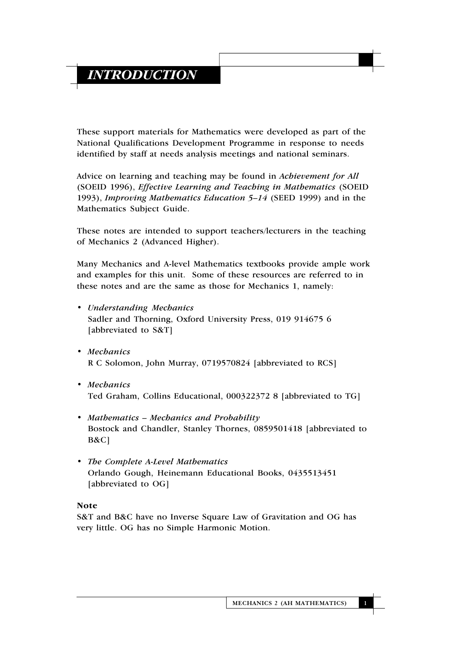# *INTRODUCTION*

These support materials for Mathematics were developed as part of the National Qualifications Development Programme in response to needs identified by staff at needs analysis meetings and national seminars.

Advice on learning and teaching may be found in *Achievement for All* (SOEID 1996), *Effective Learning and Teaching in Mathematics* (SOEID 1993), *Improving Mathematics Education 5–14* (SEED 1999) and in the Mathematics Subject Guide.

These notes are intended to support teachers/lecturers in the teaching of Mechanics 2 (Advanced Higher).

Many Mechanics and A-level Mathematics textbooks provide ample work and examples for this unit. Some of these resources are referred to in these notes and are the same as those for Mechanics 1, namely:

- *Understanding Mechanics* Sadler and Thorning, Oxford University Press, 019 914675 6 [abbreviated to S&T]
- *Mechanics* R C Solomon, John Murray, 0719570824 [abbreviated to RCS]
- *Mechanics* Ted Graham, Collins Educational, 000322372 8 [abbreviated to TG]
- *Mathematics Mechanics and Probability* Bostock and Chandler, Stanley Thornes, 0859501418 [abbreviated to B&C]
- *The Complete A-Level Mathematics* Orlando Gough, Heinemann Educational Books, 0435513451 [abbreviated to OG]

## **Note**

S&T and B&C have no Inverse Square Law of Gravitation and OG has very little. OG has no Simple Harmonic Motion.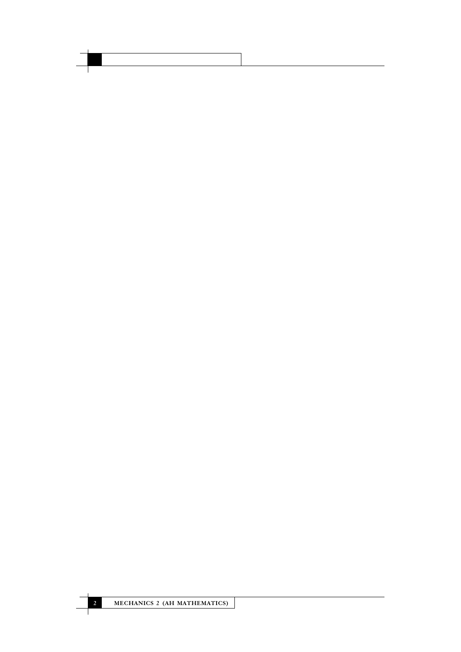|  | MECHANICS 2 (AH MATHEMATICS) |  |
|--|------------------------------|--|
|  |                              |  |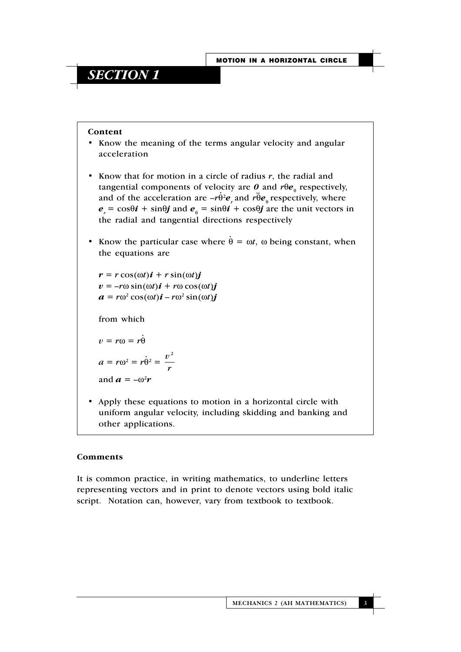## *SECTION 1*

## **Content**

- Know the meaning of the terms angular velocity and angular acceleration
- Know that for motion in a circle of radius *r*, the radial and tangential components of velocity are  $\boldsymbol{\theta}$  and  $\boldsymbol{r}\theta\boldsymbol{e}_{\theta}$  respectively, and of the acceleration are  $-r\dot{\theta}^2$ *e*<sub>*r*</sub> and  $r\ddot{\theta}$ *e*<sub>e</sub> respectively, where  $e_r = \cos\theta i + \sin\theta j$  and  $e_{\theta} = \sin\theta i + \cos\theta j$  are the unit vectors in the radial and tangential directions respectively
- Know the particular case where  $\dot{\theta} = \omega t$ ,  $\omega$  being constant, when the equations are

 $r = r \cos(\omega t) \mathbf{i} + r \sin(\omega t) \mathbf{j}$  $v = -r\omega \sin(\omega t)$ *i* +  $r\omega \cos(\omega t)$ *j*  $a = r\omega^2 \cos(\omega t) \mathbf{i} - r\omega^2 \sin(\omega t) \mathbf{j}$ 

*r*

from which

$$
v = r\omega = r\dot{\theta}
$$

$$
a = r\omega^2 = r\dot{\theta}^2 = \frac{v^2}{2}
$$

and 
$$
\mathbf{a} = -\omega^2 \mathbf{r}
$$

• Apply these equations to motion in a horizontal circle with uniform angular velocity, including skidding and banking and other applications.

## **Comments**

It is common practice, in writing mathematics, to underline letters representing vectors and in print to denote vectors using bold italic script. Notation can, however, vary from textbook to textbook.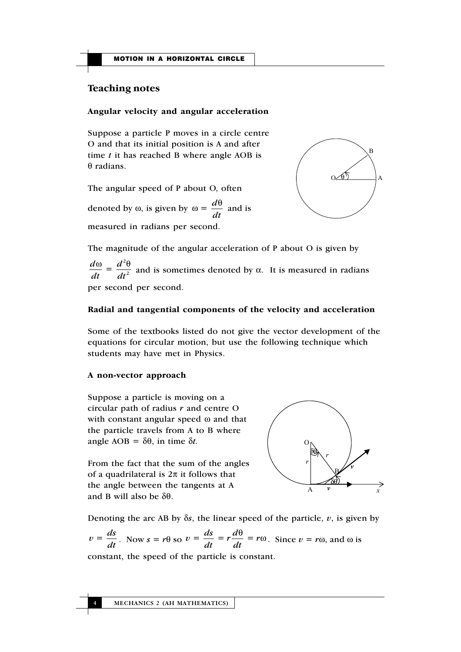## **Teaching notes**

#### **Angular velocity and angular acceleration**

Suppose a particle P moves in a circle centre O and that its initial position is A and after time *t* it has reached B where angle AOB is θ radians.

The angular speed of P about O, often

denoted by  $\omega$ , is given by  $\omega = \frac{d}{d\omega}$ *dt*  $ω = \frac{dθ}{dx}$  and is measured in radians per second.



The magnitude of the angular acceleration of P about O is given by

2  $\frac{d\omega}{dt} = \frac{d^2\theta}{dt^2}$  $\frac{d\omega}{dt} = \frac{d^2\theta}{dt^2}$  and is sometimes denoted by α. It is measured in radians per second per second.

## **Radial and tangential components of the velocity and acceleration**

Some of the textbooks listed do not give the vector development of the equations for circular motion, but use the following technique which students may have met in Physics.

#### **A non-vector approach**

Suppose a particle is moving on a circular path of radius *r* and centre O with constant angular speed ω and that the particle travels from A to B where angle  $AOB = \delta\theta$ , in time  $\delta t$ .

From the fact that the sum of the angles of a quadrilateral is  $2\pi$  it follows that the angle between the tangents at A and B will also be δθ.



Denoting the arc AB by  $\delta s$ , the linear speed of the particle,  $v$ , is given by

$$
v = \frac{ds}{dt}
$$
. Now  $s = r\theta$  so  $v = \frac{ds}{dt} = r\frac{d\theta}{dt} = r\omega$ . Since  $v = r\omega$ , and  $\omega$  is

constant, the speed of the particle is constant.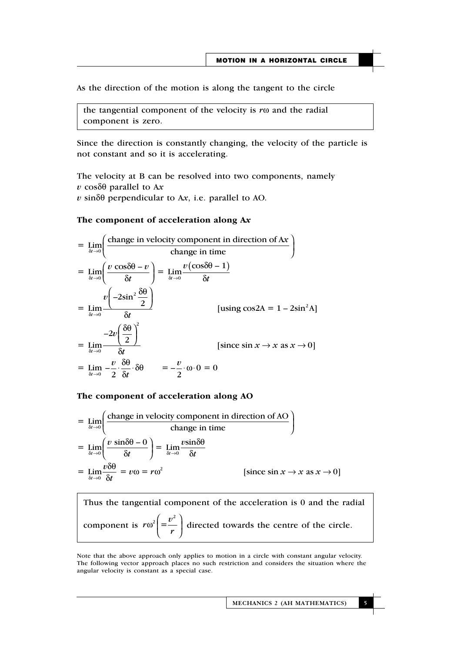As the direction of the motion is along the tangent to the circle

```
the tangential component of the velocity is rω and the radial
component is zero.
```
Since the direction is constantly changing, the velocity of the particle is not constant and so it is accelerating.

The velocity at B can be resolved into two components, namely *v* cosδθ parallel to A*x v* sinδθ perpendicular to A*x*, i.e. parallel to AO.

#### **The component of acceleration along A***x*

$$
= \lim_{\delta t \to 0} \left( \frac{\text{change in velocity component in direction of A}x}{\text{change in time}} \right)
$$
  
\n
$$
= \lim_{\delta t \to 0} \left( \frac{v \cos \delta \theta - v}{\delta t} \right) = \lim_{\delta t \to 0} \frac{v(\cos \delta \theta - 1)}{\delta t}
$$
  
\n
$$
= \lim_{\delta t \to 0} \frac{v \left( -2 \sin^2 \frac{\delta \theta}{2} \right)}{\delta t}
$$
 [using cos2A = 1 - 2sin<sup>2</sup>A]  
\n
$$
= \lim_{\delta t \to 0} \frac{-2v \left( \frac{\delta \theta}{2} \right)^2}{\delta t}
$$
 [since sin x \to x as x \to 0]  
\n
$$
= \lim_{\delta t \to 0} \frac{v}{\delta t} \cdot \delta \theta = -\frac{v}{2} \cdot \omega \cdot 0 = 0
$$

## **The component of acceleration along AO**

$$
= \lim_{\delta t \to 0} \left( \frac{\text{change in velocity component in direction of AO}}{\text{change in time}} \right)
$$
  
= 
$$
\lim_{\delta t \to 0} \left( \frac{v \sin \delta \theta - 0}{\delta t} \right) = \lim_{\delta t \to 0} \frac{v \sin \delta \theta}{\delta t}
$$
  
= 
$$
\lim_{\delta t \to 0} \frac{v \delta \theta}{\delta t} = v \omega = r \omega^2
$$
 [since sin  $x \to x$  as  $x \to 0$ ]

Thus the tangential component of the acceleration is 0 and the radial component is *r* 2  $2\left(\frac{v}{v}\right)$ *r*  $\omega^2\left(\frac{v^2}{r}\right)$ directed towards the centre of the circle.

Note that the above approach only applies to motion in a circle with constant angular velocity. The following vector approach places no such restriction and considers the situation where the angular velocity is constant as a special case.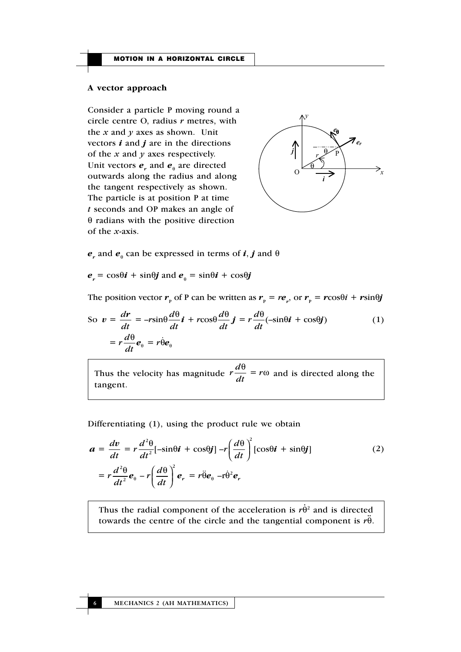## **A vector approach**

Consider a particle P moving round a circle centre O, radius *r* metres, with the  $x$  and  $y$  axes as shown. Unit vectors *i* and *j* are in the directions of the *x* and *y* axes respectively. Unit vectors  $\boldsymbol{e}_r$  and  $\boldsymbol{e}_\theta$  are directed outwards along the radius and along the tangent respectively as shown. The particle is at position P at time *t* seconds and OP makes an angle of θ radians with the positive direction of the *x*-axis.



 $\boldsymbol{e}_r$  and  $\boldsymbol{e}_\theta$  can be expressed in terms of  $\boldsymbol{i},\boldsymbol{j}$  and  $\theta$ 

 $e_r = \cos\theta i + \sin\theta j$  and  $e_{\theta} = \sin\theta i + \cos\theta j$ 

The position vector  $r_{\rm p}$  of P can be written as  $r_{\rm p} = r \bm{e}_r$ , or  $r_{\rm p} = r \cos\theta \bm{i} + r \sin\theta \bm{j}$ 

So 
$$
v = \frac{dr}{dt} = -r \sin\theta \frac{d\theta}{dt} \mathbf{i} + r \cos\theta \frac{d\theta}{dt} \mathbf{j} = r \frac{d\theta}{dt} (-\sin\theta \mathbf{i} + \cos\theta \mathbf{j})
$$
 (1)  

$$
= r \frac{d\theta}{dt} \mathbf{e}_{\theta} = r \dot{\theta} \mathbf{e}_{\theta}
$$

Thus the velocity has magnitude  $r \frac{d\theta}{dt} = r$ *dt*  $\frac{\theta}{\theta}$  = r $\omega$  and is directed along the tangent.

Differentiating (1), using the product rule we obtain

$$
\mathbf{a} = \frac{dv}{dt} = r\frac{d^2\theta}{dt^2}[-\sin\theta\mathbf{i} + \cos\theta\mathbf{j}] - r\left(\frac{d\theta}{dt}\right)^2[\cos\theta\mathbf{i} + \sin\theta\mathbf{j}]
$$
\n
$$
= r\frac{d^2\theta}{dt^2}\mathbf{e}_{\theta} - r\left(\frac{d\theta}{dt}\right)^2\mathbf{e}_r = r\ddot{\theta}\mathbf{e}_{\theta} - r\dot{\theta}^2\mathbf{e}_r
$$
\n(2)

Thus the radial component of the acceleration is  $r\dot{\theta}^2$  and is directed towards the centre of the circle and the tangential component is  $\vec{r}$ .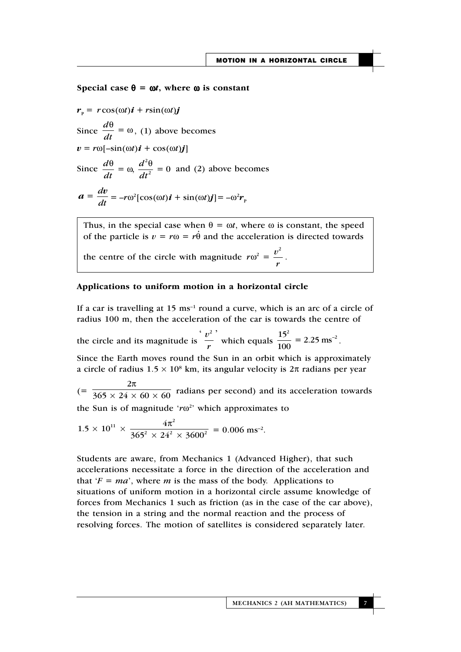## **Special case** θ **=** ω*t***, where** ω **is constant**

 $r_p = r \cos(\omega t) \mathbf{i} + r \sin(\omega t) \mathbf{j}$ Since  $\frac{d\theta}{dt}$  = *dt*  $\frac{\theta}{\theta} = \omega$ , (1) above becomes  $v = r\omega[-\sin(\omega t)i + \cos(\omega t)j]$ Since  $\frac{d\theta}{dt} = \omega$ ,  $\frac{d^2\theta}{dt^2} = 0$  $\frac{\theta}{\theta} = \omega, \frac{d^2 \theta}{\theta} = 0$  and (2) above becomes  $=\frac{d}{2}$ *dt*  $a = \frac{dv}{dt} = -r\omega^2[\cos(\omega t)i + \sin(\omega t)j] = -\omega^2 r_p$ 

Thus, in the special case when  $\theta = \omega t$ , where  $\omega$  is constant, the speed of the particle is  $v = r\omega = r\dot{\theta}$  and the acceleration is directed towards the centre of the circle with magnitude  $r\omega^2 = \frac{v^2}{\omega^2}$ *r*  $\omega^2 = \frac{v}{c}$ .

## **Applications to uniform motion in a horizontal circle**

If a car is travelling at 15  $\text{ms}^{-1}$  round a curve, which is an arc of a circle of radius 100 m, then the acceleration of the car is towards the centre of

the circle and its magnitude is  $v^2$  $\frac{15^2}{r}$  which equals  $\frac{15^2}{100} = 2.25 \text{ ms}^{-2}$  $\frac{15}{100} = 2.25 \text{ ms}^{-2}.$  $\lq\, v^2$  '

Since the Earth moves round the Sun in an orbit which is approximately a circle of radius  $1.5 \times 10^8$  km, its angular velocity is  $2\pi$  radians per year

 $(=$ 2  $365 \times 24 \times 60 \times 60$ π  $\times$  24  $\times$  60  $\times$  60 radians per second) and its acceleration towards the Sun is of magnitude ' $r\omega^2$ ' which approximates to

$$
1.5 \times 10^{11} \times \frac{4\pi^2}{365^2 \times 24^2 \times 3600^2} = 0.006 \text{ ms}^{-2}.
$$

Students are aware, from Mechanics 1 (Advanced Higher), that such accelerations necessitate a force in the direction of the acceleration and that ' $F = ma$ ', where *m* is the mass of the body. Applications to situations of uniform motion in a horizontal circle assume knowledge of forces from Mechanics 1 such as friction (as in the case of the car above), the tension in a string and the normal reaction and the process of resolving forces. The motion of satellites is considered separately later.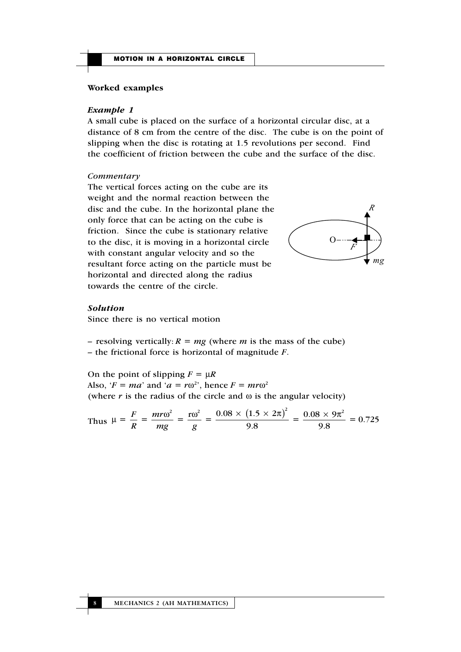#### **Worked examples**

#### *Example 1*

A small cube is placed on the surface of a horizontal circular disc, at a distance of 8 cm from the centre of the disc. The cube is on the point of slipping when the disc is rotating at 1.5 revolutions per second. Find the coefficient of friction between the cube and the surface of the disc.

## *Commentary*

The vertical forces acting on the cube are its weight and the normal reaction between the disc and the cube. In the horizontal plane the only force that can be acting on the cube is friction. Since the cube is stationary relative to the disc, it is moving in a horizontal circle with constant angular velocity and so the resultant force acting on the particle must be horizontal and directed along the radius towards the centre of the circle.



#### *Solution*

Since there is no vertical motion

– resolving vertically:  $R = mg$  (where *m* is the mass of the cube) – the frictional force is horizontal of magnitude *F*.

On the point of slipping  $F = \mu R$ Also, ' $F = ma'$  and ' $a = r\omega^2$ ', hence  $F = mr\omega^2$ (where  $r$  is the radius of the circle and  $\omega$  is the angular velocity)

Thus 
$$
\mu = \frac{F}{R} = \frac{mr\omega^2}{mg} = \frac{r\omega^2}{g} = \frac{0.08 \times (1.5 \times 2\pi)^2}{9.8} = \frac{0.08 \times 9\pi^2}{9.8} = 0.725
$$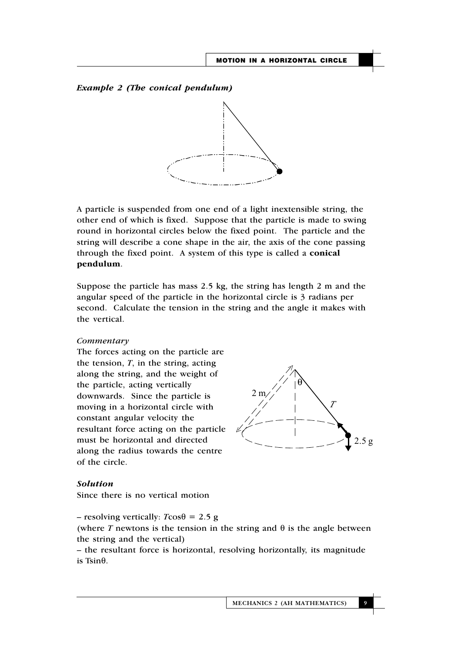## *Example 2 (The conical pendulum)*



A particle is suspended from one end of a light inextensible string, the other end of which is fixed. Suppose that the particle is made to swing round in horizontal circles below the fixed point. The particle and the string will describe a cone shape in the air, the axis of the cone passing through the fixed point. A system of this type is called a **conical pendulum**.

Suppose the particle has mass 2.5 kg, the string has length 2 m and the angular speed of the particle in the horizontal circle is 3 radians per second. Calculate the tension in the string and the angle it makes with the vertical.

## *Commentary*

The forces acting on the particle are the tension, *T*, in the string, acting along the string, and the weight of the particle, acting vertically downwards. Since the particle is moving in a horizontal circle with constant angular velocity the resultant force acting on the particle must be horizontal and directed along the radius towards the centre of the circle.



## *Solution*

Since there is no vertical motion

 $-$  resolving vertically:  $T\cos\theta = 2.5$  g (where *T* newtons is the tension in the string and  $\theta$  is the angle between the string and the vertical)

– the resultant force is horizontal, resolving horizontally, its magnitude is Tsinθ.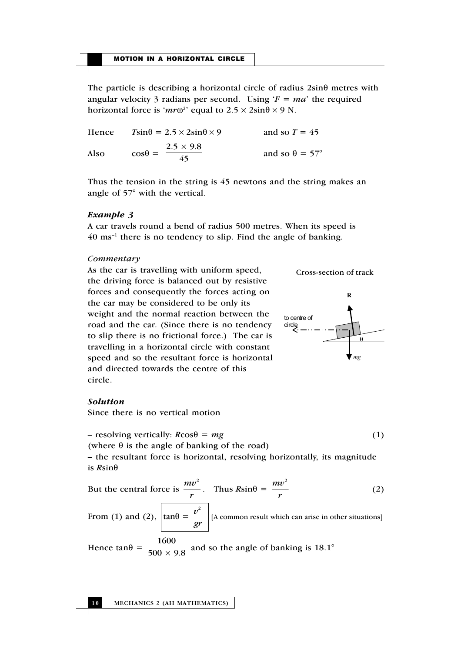#### MOTION IN A HORIZONTAL CIRCLE

The particle is describing a horizontal circle of radius  $2\sin\theta$  metres with angular velocity 3 radians per second. Using  $F = ma$  the required horizontal force is ' $mr\omega^2$ ' equal to  $2.5 \times 2\sin\theta \times 9$  N.

| Hence | $T\sin\theta = 2.5 \times 2\sin\theta \times 9$ | and so $T = 45$              |  |  |
|-------|-------------------------------------------------|------------------------------|--|--|
| Also  | $2.5 \times 9.8$<br>$\cos\theta =$<br>45        | and so $\theta = 57^{\circ}$ |  |  |

Thus the tension in the string is 45 newtons and the string makes an angle of 57° with the vertical.

## *Example 3*

A car travels round a bend of radius 500 metres. When its speed is  $40 \text{ ms}^{-1}$  there is no tendency to slip. Find the angle of banking.

## *Commentary*

As the car is travelling with uniform speed, the driving force is balanced out by resistive forces and consequently the forces acting on the car may be considered to be only its weight and the normal reaction between the road and the car. (Since there is no tendency to slip there is no frictional force.) The car is travelling in a horizontal circle with constant speed and so the resultant force is horizontal and directed towards the centre of this circle.



Cross-section of track

*mg*

#### *Solution*

Since there is no vertical motion

 $-$  resolving vertically:  $R\cos\theta = mg$  (1)

(where  $\theta$  is the angle of banking of the road)

– the resultant force is horizontal, resolving horizontally, its magnitude is *R*sinθ

But the central force is 
$$
\frac{mv^2}{r}
$$
. Thus  $R\sin\theta = \frac{mv^2}{r}$  (2)

From (1) and (2),  $\vert \tan\theta = \frac{v^2}{\sqrt{2}}$  $tan \theta = \frac{v}{x}$ *gr*  $\theta = \frac{b}{\pi}$  [A common result which can arise in other situations]

Hence tanθ = 1600  $\frac{1}{500 \times 9.8}$  and so the angle of banking is 18.1°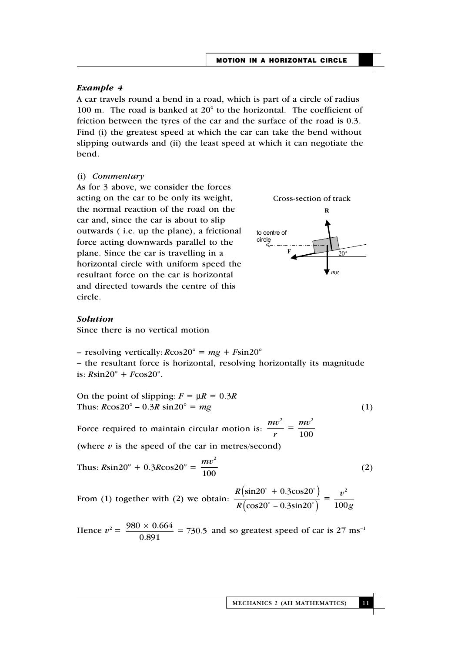## *Example 4*

A car travels round a bend in a road, which is part of a circle of radius 100 m. The road is banked at 20° to the horizontal. The coefficient of friction between the tyres of the car and the surface of the road is 0.3. Find (i) the greatest speed at which the car can take the bend without slipping outwards and (ii) the least speed at which it can negotiate the bend.

## (i) *Commentary*

As for 3 above, we consider the forces acting on the car to be only its weight, the normal reaction of the road on the car and, since the car is about to slip outwards ( i.e. up the plane), a frictional force acting downwards parallel to the plane. Since the car is travelling in a horizontal circle with uniform speed the resultant force on the car is horizontal and directed towards the centre of this circle.



100

## *Solution*

Since there is no vertical motion

 $-$  resolving vertically:  $R\cos 20^\circ = mg + F\sin 20^\circ$ – the resultant force is horizontal, resolving horizontally its magnitude

is:  $R\sin 20^\circ + F\cos 20^\circ$ .

On the point of slipping: 
$$
F = \mu R = 0.3R
$$
  
\nThus:  $R\cos 20^\circ - 0.3R \sin 20^\circ = mg$  (1)  
\nForce required to maintain circular motion is:  $\frac{mv^2}{m} = \frac{mv^2}{100}$ 

*r* (where  $v$  is the speed of the car in metres/second)

Thus: 
$$
R\sin 20^\circ + 0.3R\cos 20^\circ = \frac{mv^2}{100}
$$
 (2)

From (1) together with (2) we obtain:  $\frac{R(\sin 20^\circ + 0.3\cos 20^\circ)}{4}$  $\left( \cos 20^{\circ}-0.3\sin 20^{\circ}\right)$  $\sin 20^\circ + 0.3\cos 20^\circ$  )  $v^2$  =  $\cos 20^\circ - 0.3 \sin 20^\circ$  100  $R\left(\sin 20^\circ + 0.3\cos 20^\circ\right)$  *v*  $R\left(\cos20^\circ-0.3\sin20^\circ\right)$  100g  $\degree$  D  $2\degree$  D  $\degree$  $\degree$  0.2  $\sin 20^\circ$ 

Hence  $v^2 = \frac{980 \times 0.664}{0.00000000000000000} = 730.5$ 0.891  $\times$  0.664 = 730.5 and so greatest speed of car is 27 ms<sup>-1</sup>

**MECHANICS 2 (AH MATHEMATICS)**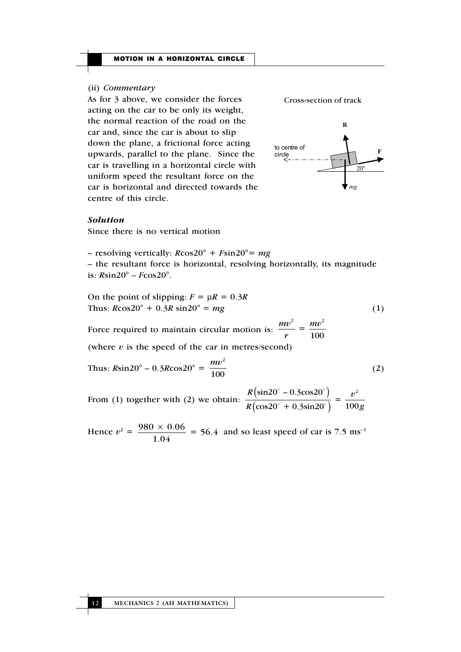#### MOTION IN A HORIZONTAL CIRCLE

## (ii) *Commentary*

As for 3 above, we consider the forces acting on the car to be only its weight, the normal reaction of the road on the car and, since the car is about to slip down the plane, a frictional force acting upwards, parallel to the plane. Since the car is travelling in a horizontal circle with uniform speed the resultant force on the car is horizontal and directed towards the centre of this circle.





## *Solution*

Since there is no vertical motion

– resolving vertically: *R*cos20° + *F*sin20°= *mg* – the resultant force is horizontal, resolving horizontally, its magnitude is:  $R\sin 20^\circ - F\cos 20^\circ$ .

On the point of slipping:  $F = \mu R = 0.3R$ Thus:  $R\cos 20^{\circ} + 0.3R \sin 20^{\circ} = mg$  (1) 2  $\omega$ <sup>2</sup>  $mv^2$  mv

Force required to maintain circular motion is: = 100 *r* (where  $v$  is the speed of the car in metres/second)

Thus: 
$$
R\sin 20^\circ - 0.3R\cos 20^\circ = \frac{mv^2}{100}
$$
 (2)

From (1) together with (2) we obtain:  $\frac{R(\text{sin}20^\circ - 0.3\text{cos}20^\circ)}{4}$  $\left( \cos 20^{\circ} \, + \, 0.3 \sin 20^{\circ} \right)$  $\sin 20^\circ - 0.3 \cos 20^\circ$  )  $v^2$  =  $cos20^{\circ} + 0.3sin20^{\circ}$  100  $R\left(\sin 20^\circ-0.3\cos 20^\circ\right)$  *v*  $R (\cos 20^\circ + 0.3 \sin 20^\circ)$  100g  $\degree$  0.2  $\degree$  0.200  $\degree$  $\degree$  D 2  $\sin 20^\circ$ 

Hence  $v^2 = \frac{980 \times 0.06}{0.001 \times 0.001} = 56.4$ 1.04  $\times$  0.06 = 56.4 and so least speed of car is 7.5 ms<sup>-1</sup>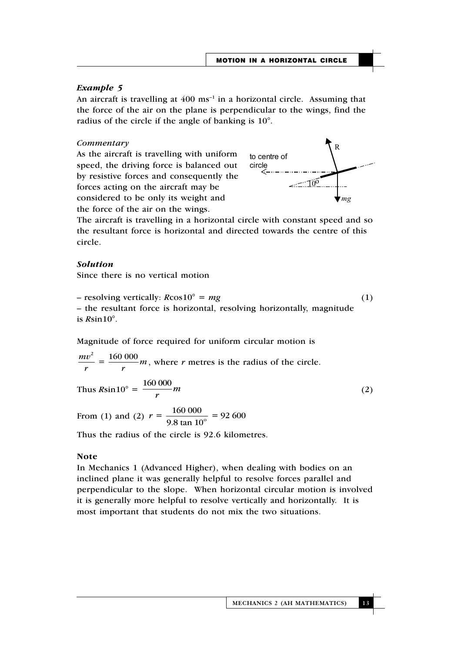## *Example 5*

An aircraft is travelling at  $400 \text{ ms}^{-1}$  in a horizontal circle. Assuming that the force of the air on the plane is perpendicular to the wings, find the radius of the circle if the angle of banking is 10°.

#### *Commentary*

As the aircraft is travelling with uniform speed, the driving force is balanced out by resistive forces and consequently the forces acting on the aircraft may be considered to be only its weight and the force of the air on the wings.



The aircraft is travelling in a horizontal circle with constant speed and so the resultant force is horizontal and directed towards the centre of this circle.

## *Solution*

Since there is no vertical motion

– resolving vertically: *R*cos10° = *mg* (1) – the resultant force is horizontal, resolving horizontally, magnitude is *R*sin10°.

## Magnitude of force required for uniform circular motion is

$$
\frac{mv^2}{r} = \frac{160\,000}{r}m
$$
, where *r* metres is the radius of the circle.  
Thus  $R\sin 10^\circ = \frac{160\,000}{r}m$  (2)

From (1) and (2)  $r = \frac{160\,000}{9.8 \text{ kg} \cdot 10^9} = 92\,600$ 9.8 tan 10 *r*

Thus the radius of the circle is 92.6 kilometres.

## **Note**

In Mechanics 1 (Advanced Higher), when dealing with bodies on an inclined plane it was generally helpful to resolve forces parallel and perpendicular to the slope. When horizontal circular motion is involved it is generally more helpful to resolve vertically and horizontally. It is most important that students do not mix the two situations.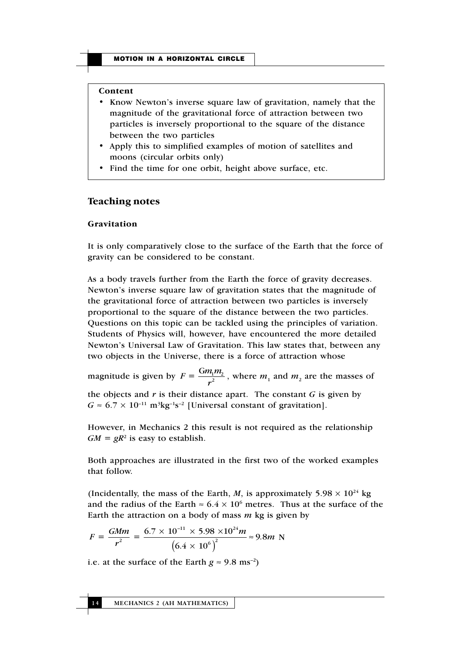## **Content**

- Know Newton's inverse square law of gravitation, namely that the magnitude of the gravitational force of attraction between two particles is inversely proportional to the square of the distance between the two particles
- Apply this to simplified examples of motion of satellites and moons (circular orbits only)
- Find the time for one orbit, height above surface, etc.

## **Teaching notes**

## **Gravitation**

It is only comparatively close to the surface of the Earth that the force of gravity can be considered to be constant.

As a body travels further from the Earth the force of gravity decreases. Newton's inverse square law of gravitation states that the magnitude of the gravitational force of attraction between two particles is inversely proportional to the square of the distance between the two particles. Questions on this topic can be tackled using the principles of variation. Students of Physics will, however, have encountered the more detailed Newton's Universal Law of Gravitation. This law states that, between any two objects in the Universe, there is a force of attraction whose

magnitude is given by  $F = \frac{Gm_1m_2}{r^2}$  $F = \frac{Gm_1m_2}{r^2}$  $r_1^{n_1 n_2}$ , where  $m_1$  and  $m_2$  are the masses of

the objects and  $r$  is their distance apart. The constant  $G$  is given by  $G \approx 6.7 \times 10^{-11} \text{ m}^3 \text{kg}^{-1} \text{s}^{-2}$  [Universal constant of gravitation].

However, in Mechanics 2 this result is not required as the relationship  $GM = gR^2$  is easy to establish.

Both approaches are illustrated in the first two of the worked examples that follow.

(Incidentally, the mass of the Earth, *M*, is approximately  $5.98 \times 10^{24}$  kg and the radius of the Earth  $\approx 6.4 \times 10^6$  metres. Thus at the surface of the Earth the attraction on a body of mass *m* kg is given by

$$
F = \frac{GMm}{r^2} = \frac{6.7 \times 10^{-11} \times 5.98 \times 10^{24} m}{(6.4 \times 10^6)^2} \approx 9.8 m \text{ N}
$$

i.e. at the surface of the Earth  $g \approx 9.8 \text{ ms}^{-2}$ )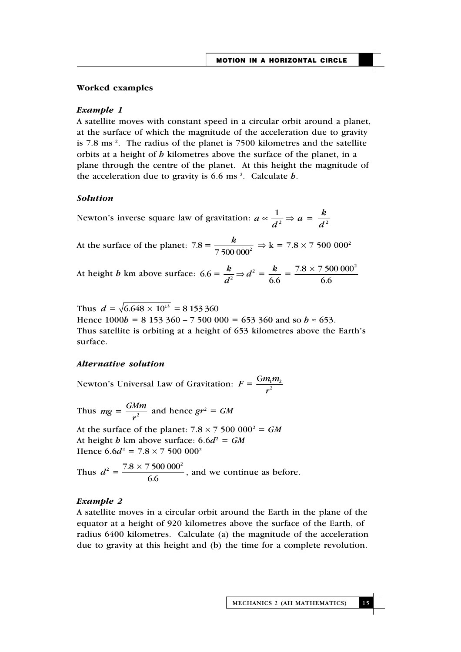## **Worked examples**

#### *Example 1*

A satellite moves with constant speed in a circular orbit around a planet, at the surface of which the magnitude of the acceleration due to gravity is  $7.8 \text{ ms}^{-2}$ . The radius of the planet is  $7500$  kilometres and the satellite orbits at a height of *h* kilometres above the surface of the planet, in a plane through the centre of the planet. At this height the magnitude of the acceleration due to gravity is 6.6 ms–2. Calculate *h*.

## *Solution*

Newton's inverse square law of gravitation:  $a \propto \frac{1}{d^2} \Rightarrow a = \frac{k}{d^2}$  $d^2$  *d*  $\propto$   $\frac{1}{12}$  ⇒

At the surface of the planet:  $7.8 = \frac{12}{75000000^2}$  $\frac{k}{(k-1)(2)} \Rightarrow k = 7.8 \times 7,500,000^2$ 

At height *b* km above surface:  $6.6 = \frac{k}{a^2} \Rightarrow d^2 = \frac{k}{a} = \frac{7.8 \times 7500000^2}{x}$  $6.6 = \frac{k}{d^2} \Rightarrow d^2 = \frac{k}{6.6} = \frac{7.8 \times 7500000}{6.6}$ 6.6 6.6  $\frac{k}{a^2}$   $\Rightarrow$   $d^2 = \frac{k}{a^2}$ *d*  $\Rightarrow$   $d^2 = \frac{k}{\sqrt{2}} = \frac{7.8 \times 10^{-11}}{10^{11}}$ 

Thus  $d = \sqrt{6.648 \times 10^{13}} = 8153360$ Hence  $1000b = 8\ 153\ 360 - 7\ 500\ 000 = 653\ 360$  and so  $b \approx 653$ . Thus satellite is orbiting at a height of 653 kilometres above the Earth's surface.

## *Alternative solution*

Newton's Universal Law of Gravitation:  $F = \frac{Gm_1m_2}{r^2}$  $F = \frac{Gm_1m_2}{r^2}$ *r*

Thus  $mg = \frac{GMm}{r^2}$ *r* and hence  $gr^2 = GM$ 

At the surface of the planet:  $7.8 \times 7$  500 000<sup>2</sup> = *GM* At height *h* km above surface:  $6.6d^2 = GM$ Hence  $6.6d^2 = 7.8 \times 7500000^2$ 

Thus 
$$
d^2 = \frac{7.8 \times 7500000^2}{6.6}
$$
, and we continue as before.

## *Example 2*

A satellite moves in a circular orbit around the Earth in the plane of the equator at a height of 920 kilometres above the surface of the Earth, of radius 6400 kilometres. Calculate (a) the magnitude of the acceleration due to gravity at this height and (b) the time for a complete revolution.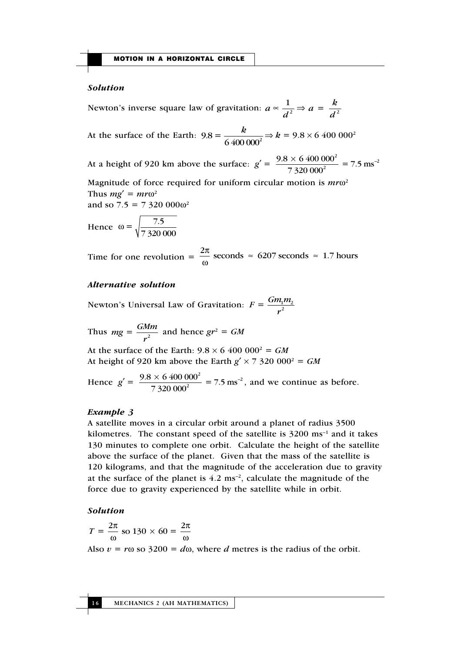## *Solution*

Newton's inverse square law of gravitation:  $a \propto \frac{1}{d^2} \Rightarrow a = \frac{k}{d^2}$  $d^2$  *d*  $\propto$   $\frac{1}{12}$  ⇒

At the surface of the Earth:  $9.8 = \frac{k}{6400000^2} \Rightarrow k = 9.8 \times 6 400 000^2$ 

At a height of 920 km above the surface:  $\frac{2}{1}$  – 7.5 m  $\frac{2}{3}$  $g' = \frac{9.8 \times 6400000^2}{7320000^2} = 7.5$  ms

Magnitude of force required for uniform circular motion is *mr*ω<sup>2</sup> Thus  $mg' = mr\omega^2$ and so  $7.5 = 73200000^2$ 

Hence 
$$
\omega = \sqrt{\frac{7.5}{7\,320\,000}}
$$

Time for one revolution =  $\frac{2\pi}{\omega}$  seconds  $\approx 6207$  seconds  $\approx 1.7$  hours

## *Alternative solution*

Newton's Universal Law of Gravitation:  $F = \frac{Gm_1m_2}{r^2}$ *r*

Thus  $mg = \frac{GMm}{r^2}$ *r* and hence  $gr^2 = GM$ 

At the surface of the Earth:  $9.8 \times 6\ 400\ 000^2 = GM$ At height of 920 km above the Earth  $g' \times 7,320,000^2 = GM$ 

Hence  $^{2}$  – 75 me<sup>-2</sup>  $g' = \frac{9.8 \times 6400000^2}{7320000^2} = 7.5$  ms<sup>-2</sup>, and we continue as before.

## *Example 3*

A satellite moves in a circular orbit around a planet of radius 3500 kilometres. The constant speed of the satellite is  $3200 \text{ ms}^{-1}$  and it takes 130 minutes to complete one orbit. Calculate the height of the satellite above the surface of the planet. Given that the mass of the satellite is 120 kilograms, and that the magnitude of the acceleration due to gravity at the surface of the planet is  $4.2 \text{ ms}^{-2}$ , calculate the magnitude of the force due to gravity experienced by the satellite while in orbit.

#### *Solution*

$$
T = \frac{2\pi}{\omega} \text{ so } 130 \times 60 = \frac{2\pi}{\omega}
$$
  
Also  $v = r\omega$  so  $3200 = d\omega$ , where d metres is the radius of the orbit.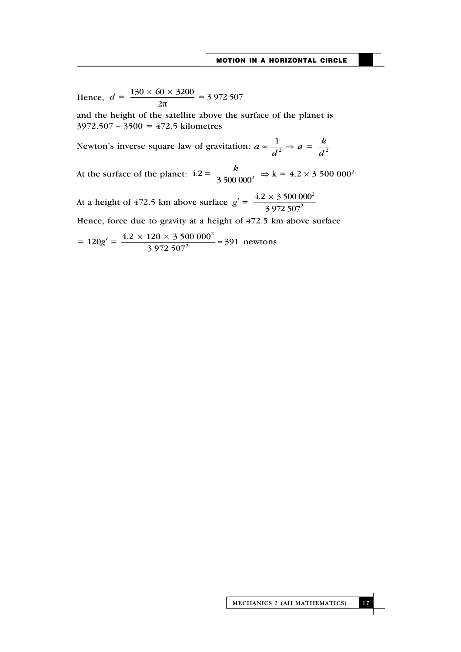Hence,  $d = \frac{130 \times 60 \times 3200}{2} = 3972507$ 2  $d = \frac{130 \times 60 \times}{2}$ π

and the height of the satellite above the surface of the planet is  $3972.507 - 3500 = 472.5$  kilometres

Newton's inverse square law of gravitation:  $a \propto \frac{1}{d^2} \Rightarrow a = \frac{k}{d^2}$  $d^2$  *d*  $\propto$   $\frac{1}{12}$  ⇒

At the surface of the planet:  $4.2 = \frac{8}{3500000^2}$  $\frac{k}{\sqrt{200}} \Rightarrow k = 4.2 \times 3,500,000^2$ 

At a height of 472.5 km above surface 2 2  $g' = \frac{4.2 \times 3500000}{3972507^2}$ 

Hence, force due to gravity at a height of 472.5 km above surface

$$
= 120g' = \frac{4.2 \times 120 \times 3500000^2}{3.972507^2} \approx 391
$$
 newtons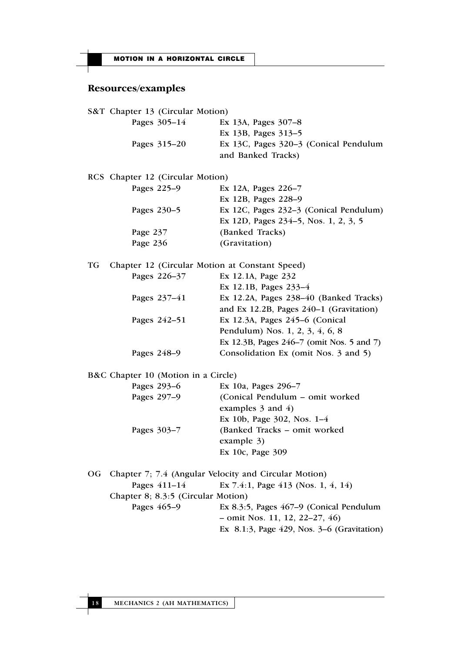## **Resources/examples**

S&T Chapter 13 (Circular Motion) Pages 305–14 Ex 13A, Pages 307–8 Ex 13B, Pages 313–5 Pages 315–20 Ex 13C, Pages 320–3 (Conical Pendulum and Banked Tracks) RCS Chapter 12 (Circular Motion) Pages 225–9 Ex 12A, Pages 226–7 Ex 12B, Pages 228–9 Pages 230–5 Ex 12C, Pages 232–3 (Conical Pendulum) Ex 12D, Pages 234–5, Nos. 1, 2, 3, 5 Page 237 (Banked Tracks) Page 236 (Gravitation) TG Chapter 12 (Circular Motion at Constant Speed) Pages 226–37 Ex 12.1A, Page 232 Ex 12.1B, Pages 233–4 Pages 237–41 Ex 12.2A, Pages 238–40 (Banked Tracks) and Ex 12.2B, Pages 240–1 (Gravitation) Pages 242–51 Ex 12.3A, Pages 245–6 (Conical Pendulum) Nos. 1, 2, 3, 4, 6, 8 Ex 12.3B, Pages 246–7 (omit Nos. 5 and 7) Pages 248–9 Consolidation Ex (omit Nos. 3 and 5) B&C Chapter 10 (Motion in a Circle) Pages 293–6 Ex 10a, Pages 296–7 Pages 297–9 (Conical Pendulum – omit worked examples 3 and 4) Ex 10b, Page 302, Nos. 1–4 Pages 303–7 (Banked Tracks – omit worked example 3) Ex 10c, Page 309 OG Chapter 7; 7.4 (Angular Velocity and Circular Motion) Pages 411–14 Ex 7.4:1, Page 413 (Nos. 1, 4, 14) Chapter 8; 8.3:5 (Circular Motion) Pages 465–9 Ex 8.3:5, Pages 467–9 (Conical Pendulum – omit Nos. 11, 12, 22–27, 46) Ex 8.1:3, Page 429, Nos. 3–6 (Gravitation)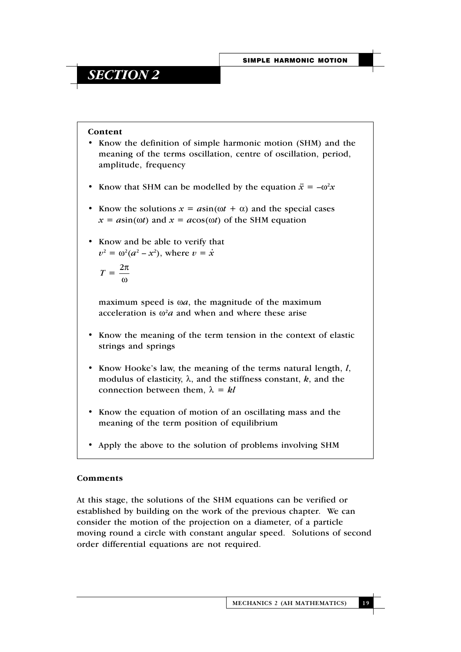## *SECTION 2*

#### **Content**

- Know the definition of simple harmonic motion (SHM) and the meaning of the terms oscillation, centre of oscillation, period, amplitude, frequency
- Know that SHM can be modelled by the equation  $\ddot{x} = -\omega^2 x$
- Know the solutions  $x = a\sin(\omega t + \alpha)$  and the special cases  $x = a\sin(\omega t)$  and  $x = a\cos(\omega t)$  of the SHM equation
- Know and be able to verify that  $v^2 = \omega^2 (a^2 - x^2)$ , where  $v = \dot{x}$

$$
T=\frac{2\pi}{\omega}
$$

maximum speed is ω*a*, the magnitude of the maximum acceleration is  $\omega^2 a$  and when and where these arise

- Know the meaning of the term tension in the context of elastic strings and springs
- Know Hooke's law, the meaning of the terms natural length, *l*, modulus of elasticity,  $\lambda$ , and the stiffness constant,  $k$ , and the connection between them,  $\lambda = kl$
- Know the equation of motion of an oscillating mass and the meaning of the term position of equilibrium
- Apply the above to the solution of problems involving SHM

## **Comments**

At this stage, the solutions of the SHM equations can be verified or established by building on the work of the previous chapter. We can consider the motion of the projection on a diameter, of a particle moving round a circle with constant angular speed. Solutions of second order differential equations are not required.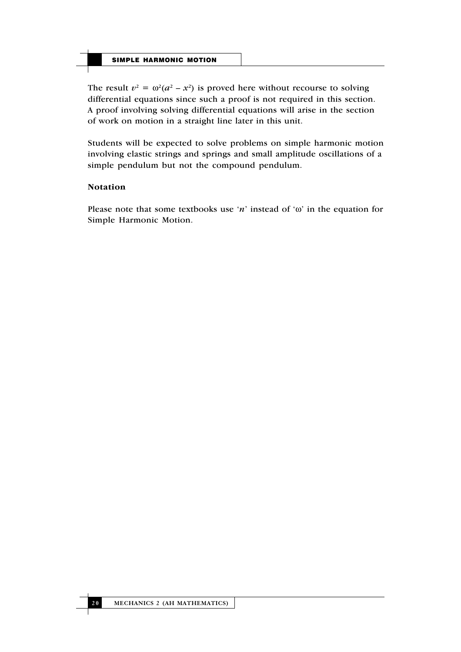#### SIMPLE HARMONIC MOTION

The result  $v^2 = \omega^2(a^2 - x^2)$  is proved here without recourse to solving differential equations since such a proof is not required in this section. A proof involving solving differential equations will arise in the section of work on motion in a straight line later in this unit.

Students will be expected to solve problems on simple harmonic motion involving elastic strings and springs and small amplitude oscillations of a simple pendulum but not the compound pendulum.

## **Notation**

Please note that some textbooks use '*n*' instead of 'ω' in the equation for Simple Harmonic Motion.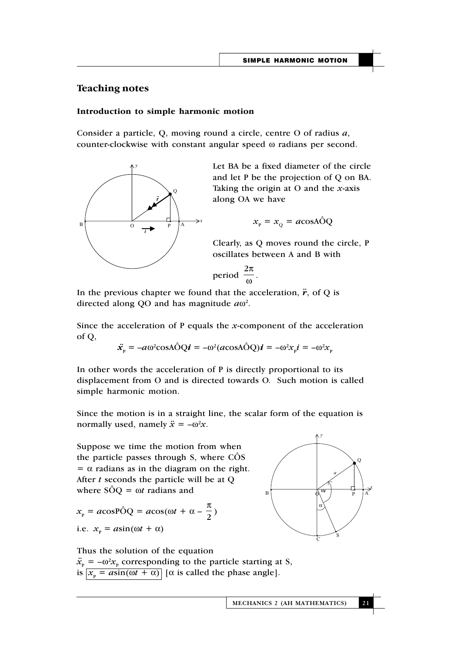## **Teaching notes**

## **Introduction to simple harmonic motion**

Consider a particle, Q, moving round a circle, centre O of radius *a*, counter-clockwise with constant angular speed ω radians per second.



Let BA be a fixed diameter of the circle and let P be the projection of Q on BA. Taking the origin at O and the *x*-axis along OA we have

$$
x_{\rm p} = x_{\rm Q} = a \cos{\hat{\Theta}}Q
$$

Clearly, as Q moves round the circle, P oscillates between A and B with

period 
$$
\frac{2\pi}{\omega}
$$
.

In the previous chapter we found that the acceleration,  $\ddot{r}$ , of Q is directed along QO and has magnitude  $a\omega^2$ .

Since the acceleration of P equals the *x*-component of the acceleration of Q,

$$
\ddot{x}_{p} = -a\omega^{2}\cos A\hat{O}Q\boldsymbol{i} = -\omega^{2}(a\cos A\hat{O}Q)\boldsymbol{i} = -\omega^{2}x_{p}\boldsymbol{i} = -\omega^{2}x_{p}
$$

In other words the acceleration of P is directly proportional to its displacement from O and is directed towards O. Such motion is called simple harmonic motion.

normally used, namely  $\ddot{x} = -\omega^2 x$ . Since the motion is in a straight line, the scalar form of the equation is

Suppose we time the motion from when the particle passes through S, where CÔS  $= \alpha$  radians as in the diagram on the right. After *t* seconds the particle will be at Q where SÔQ = ω*t* radians and

$$
x_{p} = a \cos \hat{\theta} \cdot Q = a \cos(\omega t + \alpha - \frac{\pi}{2})
$$
  
i.e. 
$$
x_{p} = a \sin(\omega t + \alpha)
$$



 $\ddot{x}_{\text{p}} = -\omega^2 x_{\text{p}}$  corresponding to the particle starting at S, Thus the solution of the equation is  $\boxed{x_{\text{p}} = a \sin(\omega t + \alpha)}$  [ $\alpha$  is called the phase angle].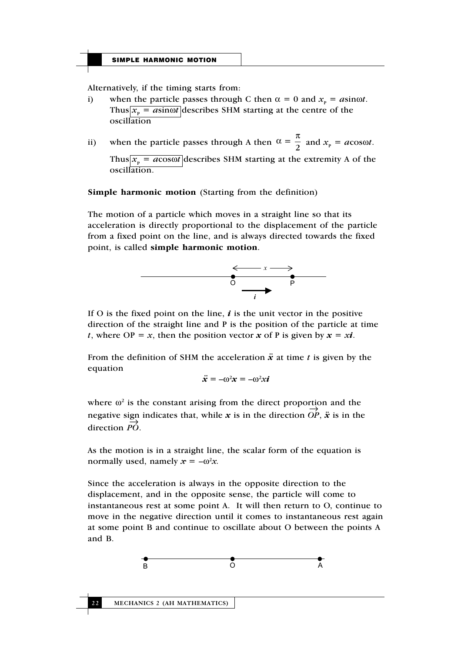Alternatively, if the timing starts from:

- i) when the particle passes through C then  $\alpha = 0$  and  $x_{\text{p}} = a \sin \omega t$ . Thus  $\bar{x}_p = a$ sin $\omega t$  describes SHM starting at the centre of the oscillation
- ii) when the particle passes through A then  $\alpha = \frac{\pi}{2}$  $\alpha = \frac{\pi}{2}$  and  $x_{\text{p}} = a \cos \omega t$ .

Thus  $x_{\rm p} = a{\rm cos}\omega t$  describes SHM starting at the extremity A of the oscillation.

**Simple harmonic motion** (Starting from the definition)

The motion of a particle which moves in a straight line so that its acceleration is directly proportional to the displacement of the particle from a fixed point on the line, and is always directed towards the fixed point, is called **simple harmonic motion**.



If O is the fixed point on the line, *i* is the unit vector in the positive direction of the straight line and P is the position of the particle at time *t*, where OP = *x*, then the position vector *x* of P is given by  $x = xi$ .

From the definition of SHM the acceleration  $\ddot{x}$  at time *t* is given by the equation

$$
\ddot{\mathbf{x}} = -\omega^2 \mathbf{x} = -\omega^2 x \mathbf{i}
$$

where  $\omega^2$  is the constant arising from the direct proportion and the negative sign indicates that, while *x* is in the direction  $\overrightarrow{OP}$ ,  $\ddot{x}$  is in the negative sign indicates that, while *x* is in the direction  $\overrightarrow{OP}$ ,  $\ddot{x}$  is in the direction  $\overrightarrow{PO}$ .

As the motion is in a straight line, the scalar form of the equation is normally used, namely  $x = -\omega^2 x$ .

Since the acceleration is always in the opposite direction to the displacement, and in the opposite sense, the particle will come to instantaneous rest at some point A. It will then return to O, continue to move in the negative direction until it comes to instantaneous rest again at some point B and continue to oscillate about O between the points A and B.

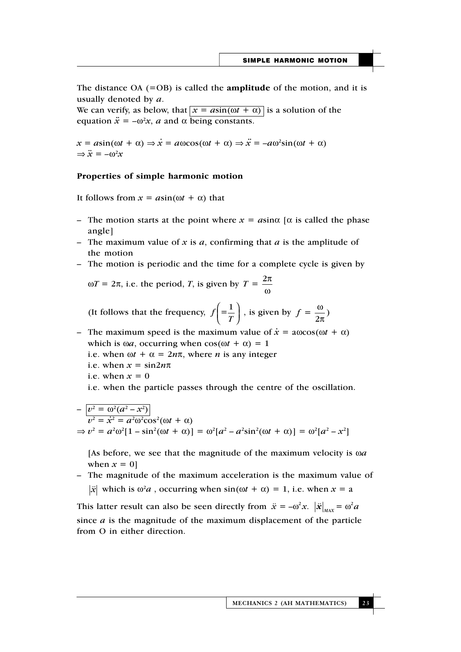The distance OA (=OB) is called the **amplitude** of the motion, and it is usually denoted by *a*.

We can verify, as below, that  $\boxed{x = a\sin(\omega t + \alpha)}$  is a solution of the equation  $\ddot{x} = -\omega^2 x$ , *a* and  $\alpha$  being constants.

 $x = a\sin(\omega t + \alpha) \Rightarrow \dot{x} = a\omega\cos(\omega t + \alpha) \Rightarrow \ddot{x} = -a\omega^2\sin(\omega t + \alpha)$  $\Rightarrow \ddot{x} = -\omega^2 x$ 

## **Properties of simple harmonic motion**

It follows from  $x = a\sin(\omega t + \alpha)$  that

- The motion starts at the point where  $x = a\sin\alpha$  [ $\alpha$  is called the phase angle]
- The maximum value of *x* is *a*, confirming that *a* is the amplitude of the motion
- The motion is periodic and the time for a complete cycle is given by

ω

ω $T = 2π$ , i.e. the period, *T*, is given by  $T = \frac{2π}{π}$ 

(It follows that the frequency,  $f\left( = \frac{1}{T} \right)$ , is given by  $f = \frac{\omega}{2\pi}$ )

- The maximum speed is the maximum value of  $\dot{x} = a\omega\cos(\omega t + \alpha)$ which is  $\omega a$ , occurring when  $\cos(\omega t + \alpha) = 1$ i.e. when  $\omega t + \alpha = 2n\pi$ , where *n* is any integer

- i.e. when  $x = \sin 2n\pi$
- i.e. when  $x = 0$

i.e. when the particle passes through the centre of the oscillation.

$$
-\overline{v^2 = \omega^2(a^2 - x^2)}
$$
  
\n
$$
v^2 = \dot{x}^2 = a^2 \omega^2 \cos^2(\omega t + \alpha)
$$
  
\n
$$
\Rightarrow v^2 = a^2 \omega^2 [1 - \sin^2(\omega t + \alpha)] = \omega^2 [a^2 - a^2 \sin^2(\omega t + \alpha)] = \omega^2 [a^2 - x^2]
$$

[As before, we see that the magnitude of the maximum velocity is ω*a* when  $x = 0$ ]

– The magnitude of the maximum acceleration is the maximum value of  $\left|\ddot{x}\right|$  which is  $\omega^2 a$ , occurring when  $\sin(\omega t + \alpha) = 1$ , i.e. when  $x = a$ 

This latter result can also be seen directly from  $\ddot{x} = -\omega^2 x$ .  $\left|\ddot{x}\right|_{\text{max}} = \omega^2 a$ since *a* is the magnitude of the maximum displacement of the particle from O in either direction.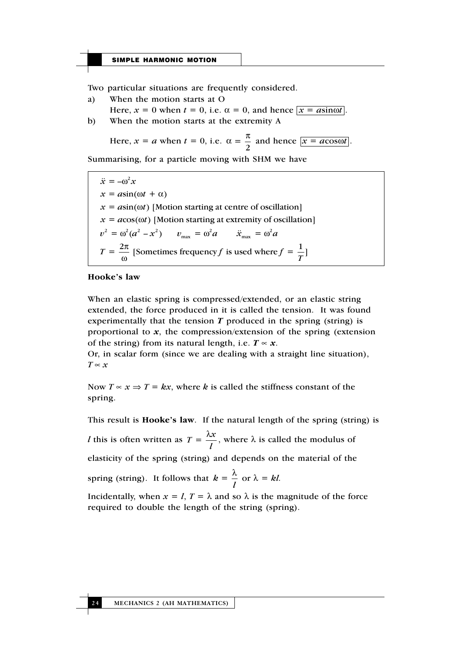#### SIMPLE HARMONIC MOTION

Two particular situations are frequently considered.

a) When the motion starts at O

Here,  $x = 0$  when  $t = 0$ , i.e.  $\alpha = 0$ , and hence  $\overline{x} = a$ sin $\omega t$ .

b) When the motion starts at the extremity A

Here,  $x = a$  when  $t = 0$ , i.e.  $\alpha =$ 2  $\alpha = \frac{\pi}{a}$  and hence  $\bar{x} = a \cos \omega t$ .

Summarising, for a particle moving with SHM we have

 $\ddot{x} = -\omega^2 x$  $v^2 = \omega^2 (a^2 - x^2)$   $v_{\text{max}} = \omega^2 a$   $\ddot{x}_{\text{max}} = \omega^2$  $x = a\sin(\omega t + \alpha)$  $x = a\sin(\omega t)$  [Motion starting at centre of oscillation]  $= a \cos(\omega t)$  [Motion starting at extremity of oscillation]  $= \omega^2 (a^2 - x^2)$   $v_{\text{max}} = \omega^2 a$   $\ddot{x}_{\text{max}} =$  $T = \frac{2\pi}{\pi}$  [Sometimes freq  $x = a\cos(\omega t)$  $v^2 = \omega^2 (a^2 - x^2)$   $v_{\text{max}} = \omega^2 a$   $\ddot{x}_{\text{max}} = \omega^2 a$ ω  $\omega^2(a^2 - x^2)$   $v_{\text{max}} = \omega^2 a$   $\ddot{x}_{\text{max}} = \omega$  $\frac{2\pi}{\omega}$  [Sometimes frequency f is used where  $f = \frac{1}{T}$ ]

#### **Hooke's law**

When an elastic spring is compressed/extended, or an elastic string extended, the force produced in it is called the tension. It was found experimentally that the tension *T* produced in the spring (string) is proportional to *x*, the compression/extension of the spring (extension of the string) from its natural length, i.e.  $T \propto x$ .

Or, in scalar form (since we are dealing with a straight line situation), *T* ∝ *x*

Now  $T \propto x \Rightarrow T = kx$ , where *k* is called the stiffness constant of the spring.

This result is **Hooke's law**. If the natural length of the spring (string) is *l* this is often written as  $T = \frac{\lambda x}{I}$ *l*  $\frac{\lambda x}{\lambda}$ , where  $\lambda$  is called the modulus of elasticity of the spring (string) and depends on the material of the spring (string). It follows that *k* = *l*  $\frac{\lambda}{\lambda}$  or  $\lambda = kl$ . Incidentally, when  $x = l$ ,  $T = \lambda$  and so  $\lambda$  is the magnitude of the force required to double the length of the string (spring).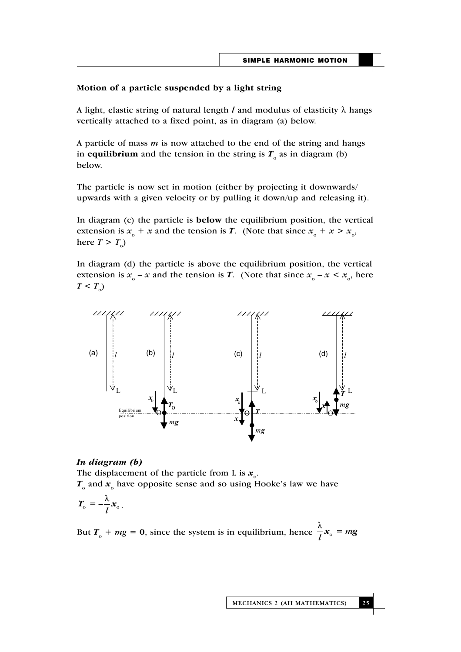## **Motion of a particle suspended by a light string**

A light, elastic string of natural length  $l$  and modulus of elasticity  $\lambda$  hangs vertically attached to a fixed point, as in diagram (a) below.

A particle of mass *m* is now attached to the end of the string and hangs in **equilibrium** and the tension in the string is  $T<sub>o</sub>$  as in diagram (b) below.

The particle is now set in motion (either by projecting it downwards/ upwards with a given velocity or by pulling it down/up and releasing it).

In diagram (c) the particle is **below** the equilibrium position, the vertical extension is  $x_0 + x$  and the tension is *T*. (Note that since  $x_0 + x > x_0$ , here  $T > T_0$ 

In diagram (d) the particle is above the equilibrium position, the vertical extension is  $x_0 - x$  and the tension is *T*. (Note that since  $x_0 - x \le x_0$ , here  $T < T_{\circ}$ 



## *In diagram (b)*

The displacement of the particle from L is  $x_0$ .  $T_{0}$  and  $x_{0}$  have opposite sense and so using Hooke's law we have

$$
T_{\rm o} = -\frac{\lambda}{l} x_{\rm o}.
$$

But  $T_0 + mg = 0$ , since the system is in equilibrium, hence  $\frac{\kappa}{l}x_0 = m$  $\frac{\lambda}{\lambda}x_{0} = mg$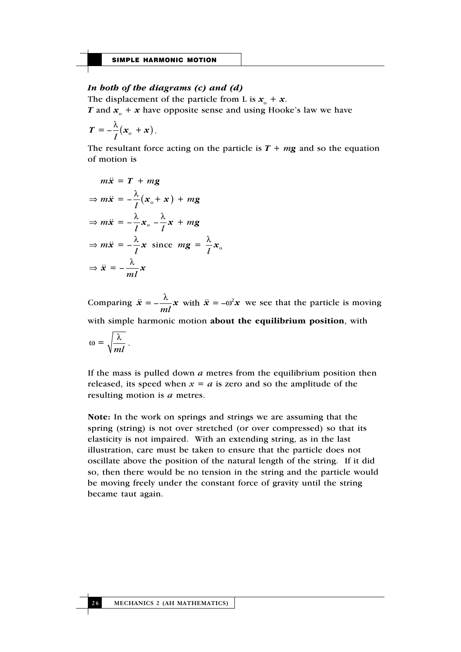## *In both of the diagrams (c) and (d)*

The displacement of the particle from L is  $x_0 + x$ . *T* and  $x_0 + x$  have opposite sense and using Hooke's law we have

$$
T=-\frac{\lambda}{l}(x_{\rm o}+x).
$$

The resultant force acting on the particle is  $T + mg$  and so the equation of motion is

$$
m\ddot{x} = T + mg
$$
  
\n
$$
\Rightarrow m\ddot{x} = -\frac{\lambda}{l}(x_o + x) + mg
$$
  
\n
$$
\Rightarrow m\ddot{x} = -\frac{\lambda}{l}x_o - \frac{\lambda}{l}x + mg
$$
  
\n
$$
\Rightarrow m\ddot{x} = -\frac{\lambda}{l}x \text{ since } mg = \frac{\lambda}{l}x_o
$$
  
\n
$$
\Rightarrow \ddot{x} = -\frac{\lambda}{ml}x
$$

Comparing  $\ddot{x} = -\frac{\pi}{x}x$  with  $\ddot{x} = -\omega^2$ *ml*  $\ddot{x} = -\frac{\lambda}{\alpha}x$  with  $\ddot{x} = -\omega^2 x$  we see that the particle is moving with simple harmonic motion **about the equilibrium position**, with

$$
\omega = \sqrt{\frac{\lambda}{ml}}.
$$

If the mass is pulled down *a* metres from the equilibrium position then released, its speed when  $x = a$  is zero and so the amplitude of the resulting motion is *a* metres.

**Note:** In the work on springs and strings we are assuming that the spring (string) is not over stretched (or over compressed) so that its elasticity is not impaired. With an extending string, as in the last illustration, care must be taken to ensure that the particle does not oscillate above the position of the natural length of the string. If it did so, then there would be no tension in the string and the particle would be moving freely under the constant force of gravity until the string became taut again.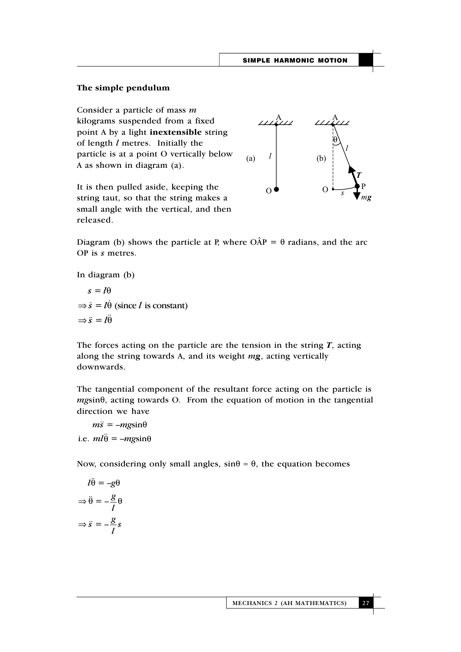## **The simple pendulum**

Consider a particle of mass *m* kilograms suspended from a fixed point A by a light **inextensible** string of length *l* metres. Initially the particle is at a point O vertically below A as shown in diagram (a).

It is then pulled aside, keeping the string taut, so that the string makes a small angle with the vertical, and then released.



Diagram (b) shows the particle at P, where  $OAP = \theta$  radians, and the arc OP is *s* metres.

In diagram (b)

$$
s = l\theta
$$
  
\n
$$
\Rightarrow \dot{s} = l\dot{\theta} \text{ (since } l \text{ is constant)}
$$
  
\n
$$
\Rightarrow \ddot{s} = l\ddot{\theta}
$$

The forces acting on the particle are the tension in the string *T*, acting along the string towards A, and its weight *mg*, acting vertically downwards.

The tangential component of the resultant force acting on the particle is *mg*sinθ, acting towards O. From the equation of motion in the tangential direction we have

 $m\ddot{s} = -mg\sin\theta$ i.e.  $ml\ddot{\theta} = -mg\sin\theta$ 

Now, considering only small angles,  $sin\theta \approx \theta$ , the equation becomes

$$
l\ddot{\theta} = -g\theta
$$

$$
\Rightarrow \ddot{\theta} = -\frac{g}{l}\theta
$$

$$
\Rightarrow \ddot{s} = -\frac{g}{l}s
$$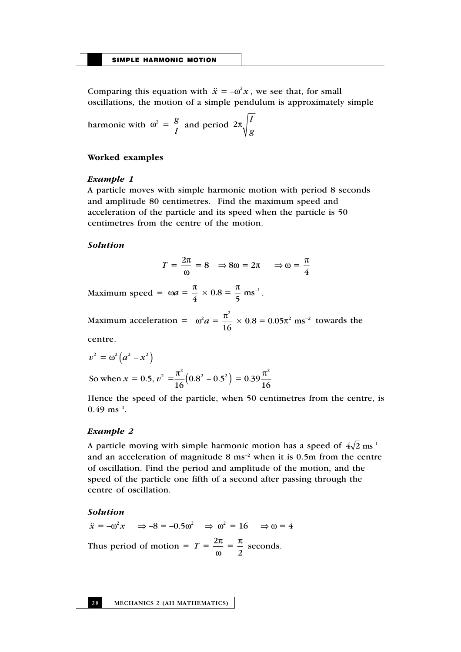Comparing this equation with  $\ddot{x} = -\omega^2 x$ , we see that, for small oscillations, the motion of a simple pendulum is approximately simple

harmonic with 
$$
\omega^2 = \frac{g}{l}
$$
 and period  $2\pi \sqrt{\frac{l}{g}}$ 

## **Worked examples**

## *Example 1*

A particle moves with simple harmonic motion with period 8 seconds and amplitude 80 centimetres. Find the maximum speed and acceleration of the particle and its speed when the particle is 50 centimetres from the centre of the motion.

#### *Solution*

$$
T = \frac{2\pi}{\omega} = 8 \quad \Rightarrow 8\omega = 2\pi \quad \Rightarrow \omega = \frac{\pi}{4}
$$

Maximum speed =  $\omega a = \frac{\pi}{4} \times 0.8 = \frac{\pi}{5} \text{ ms}^{-1}$  $\omega a = \frac{\pi}{4} \times 0.8 = \frac{\pi}{5} \text{ ms}^{-1}.$ 

Maximum acceleration =  $\omega^2 a = \frac{\pi^2}{16} \times 0.8 = 0.05\pi^2 \text{ ms}^{-2}$ 16  $\omega^2 a = \frac{\pi^2}{16} \times 0.8 = 0.05\pi^2 \text{ ms}^{-2}$  towards the

centre.

$$
v^2 = \omega^2 (a^2 - x^2)
$$

So when 
$$
x = 0.5
$$
,  $v^2 = \frac{\pi^2}{16} (0.8^2 - 0.5^2) = 0.39 \frac{\pi^2}{16}$ 

Hence the speed of the particle, when 50 centimetres from the centre, is  $0.49$  ms<sup>-1</sup>.

#### *Example 2*

A particle moving with simple harmonic motion has a speed of  $4\sqrt{2}$  ms<sup>-1</sup> and an acceleration of magnitude  $8 \text{ ms}^{-2}$  when it is 0.5m from the centre of oscillation. Find the period and amplitude of the motion, and the speed of the particle one fifth of a second after passing through the centre of oscillation.

## *Solution*

 $\ddot{x} = -\omega^2 x \implies 8 = -0.5\omega^2 \implies \omega^2 = 16 \implies \omega = 4$ Thus period of motion =  $T = \frac{2\pi}{\pi}$  = 2  $T = \frac{2\pi}{\pi} = \frac{\pi}{4}$ ω seconds.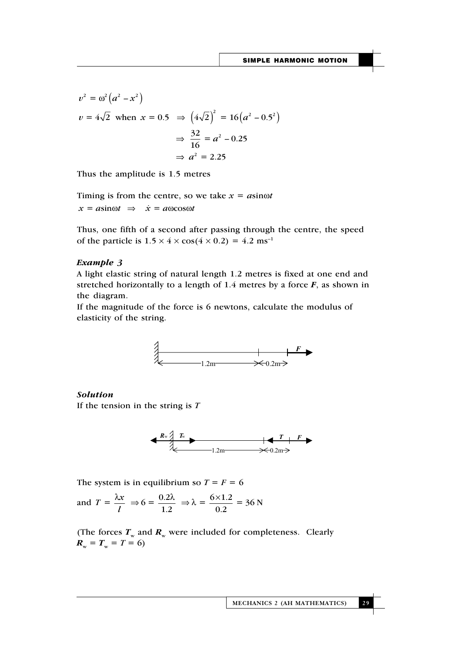$$
v^{2} = \omega^{2} (a^{2} - x^{2})
$$
  
\n
$$
v = 4\sqrt{2} \text{ when } x = 0.5 \implies (4\sqrt{2})^{2} = 16(a^{2} - 0.5^{2})
$$
  
\n
$$
\implies \frac{32}{16} = a^{2} - 0.25
$$
  
\n
$$
\implies a^{2} = 2.25
$$

Thus the amplitude is 1.5 metres

Timing is from the centre, so we take  $x = a$ sin $\omega t$  $x = a \sin \omega t \Rightarrow \dot{x} = a \omega \cos \omega t$ 

Thus, one fifth of a second after passing through the centre, the speed of the particle is  $1.5 \times 4 \times \cos(4 \times 0.2) = 4.2$  ms<sup>-1</sup>

## *Example 3*

A light elastic string of natural length 1.2 metres is fixed at one end and stretched horizontally to a length of  $1.4$  metres by a force  $\vec{F}$ , as shown in the diagram.

If the magnitude of the force is 6 newtons, calculate the modulus of elasticity of the string.



## *Solution*

If the tension in the string is *T*



The system is in equilibrium so  $T = F = 6$ 

and 
$$
T = \frac{\lambda x}{l} \Rightarrow 6 = \frac{0.2\lambda}{1.2} \Rightarrow \lambda = \frac{6 \times 1.2}{0.2} = 36 \text{ N}
$$

(The forces  $T_{w}$  and  $R_{w}$  were included for completeness. Clearly  $R_{\rm w} = T_{\rm w} = T = 6$ 

**MECHANICS 2 (AH MATHEMATICS) 2 9**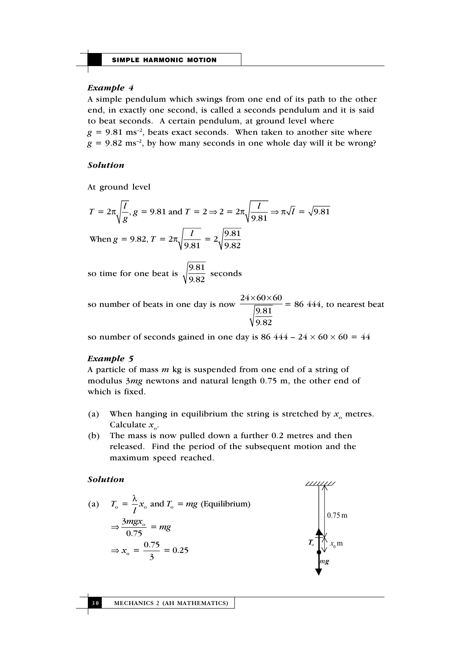## *Example 4*

A simple pendulum which swings from one end of its path to the other end, in exactly one second, is called a seconds pendulum and it is said to beat seconds. A certain pendulum, at ground level where  $g = 9.81$  ms<sup>-2</sup>, beats exact seconds. When taken to another site where  $g = 9.82$  ms<sup>-2</sup>, by how many seconds in one whole day will it be wrong?

## *Solution*

At ground level

$$
T = 2\pi \sqrt{\frac{l}{g}}, g = 9.81 \text{ and } T = 2 \Rightarrow 2 = 2\pi \sqrt{\frac{l}{9.81}} \Rightarrow \pi \sqrt{l} = \sqrt{9.81}
$$
  
When  $g = 9.82$ ,  $T = 2\pi \sqrt{\frac{l}{9.81}} = 2 \sqrt{\frac{9.81}{9.82}}$ 

so time for one beat is  $\sqrt{\frac{9.81}{9.82}}$  $\frac{.81}{.82}$  seconds

so number of beats in one day is now  $24\times 60\times 60$ 9.81  $9.82$ *. .*  $\times 60\times$  $= 86$  444, to nearest beat

so number of seconds gained in one day is 86 444 – 24  $\times$  60  $\times$  60 = 44

#### *Example 5*

A particle of mass *m* kg is suspended from one end of a string of modulus 3*mg* newtons and natural length 0.75 m, the other end of which is fixed.

(a) When hanging in equilibrium the string is stretched by  $x_0$  metres. Calculate  $x_{\circ}$ .

ШЩИ

(b) The mass is now pulled down a further 0.2 metres and then released. Find the period of the subsequent motion and the maximum speed reached.

#### *Solution*

(a) 
$$
T_o = \frac{\lambda}{l} x_o
$$
 and  $T_o = mg$  (Equilibrium)  
\n
$$
\Rightarrow \frac{3mgx_o}{0.75} = mg
$$
\n
$$
\Rightarrow x_o = \frac{0.75}{3} = 0.25
$$
\n
$$
\Rightarrow x_o = \frac{0.75}{3} = 0.25
$$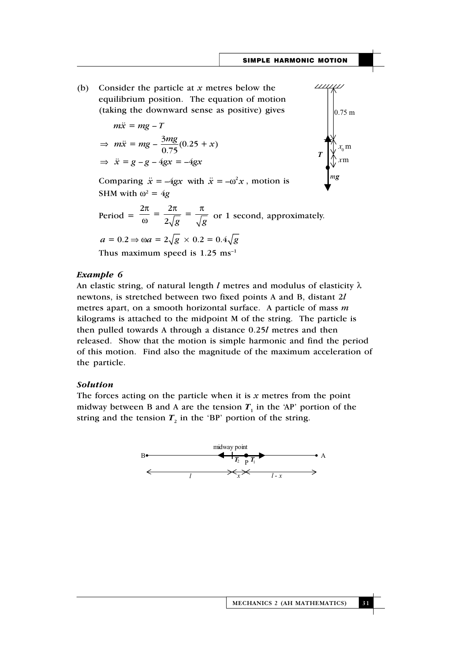(b) Consider the particle at *x* metres below the equilibrium position. The equation of motion (taking the downward sense as positive) gives

$$
m\ddot{x} = mg - T
$$
  
\n
$$
\Rightarrow m\ddot{x} = mg - \frac{3mg}{0.75}(0.25 + x)
$$
  
\n
$$
\Rightarrow \ddot{x} = g - g - 4gx = -4gx
$$



Comparing  $\ddot{x} = -4gx$  with  $\ddot{x} = -\omega^2 x$ , motion is SHM with  $\omega^2 = 4g$ 

Period =  $\frac{2\pi}{\pi} = \frac{2\pi}{\pi} =$  $2\sqrt{g}$   $\sqrt{g}$  $\pi$   $2\pi$   $\pi$  $\frac{\partial}{\partial \omega} = \frac{\partial}{\partial \sqrt{g}} = \frac{\partial}{\partial g}$  or 1 second, approximately.  $a = 0.2 \Rightarrow \omega a = 2\sqrt{g} \times 0.2 = 0.4\sqrt{g}$ 

Thus maximum speed is  $1.25 \text{ ms}^{-1}$ 

## *Example 6*

An elastic string, of natural length *l* metres and modulus of elasticity  $\lambda$ newtons, is stretched between two fixed points A and B, distant 2*l* metres apart, on a smooth horizontal surface. A particle of mass *m* kilograms is attached to the midpoint M of the string. The particle is then pulled towards A through a distance 0.25*l* metres and then released. Show that the motion is simple harmonic and find the period of this motion. Find also the magnitude of the maximum acceleration of the particle.

## *Solution*

The forces acting on the particle when it is  $x$  metres from the point midway between B and A are the tension  $T<sub>1</sub>$  in the 'AP' portion of the string and the tension  $T_2$  in the 'BP' portion of the string.

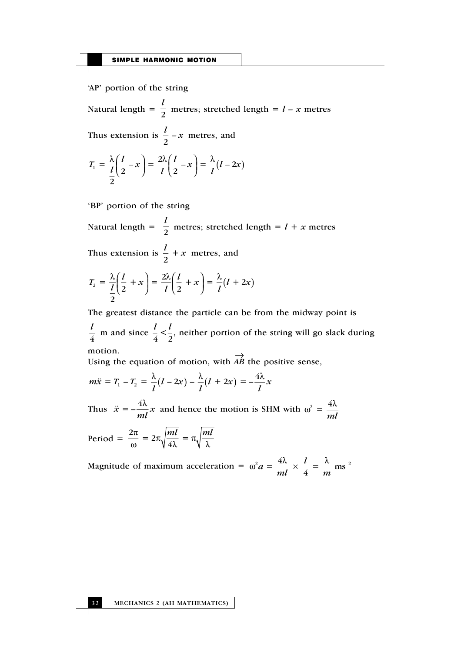'AP' portion of the string Natural length =  $\frac{1}{2}$ *l* metres; stretched length  $= l - x$  metres Thus extension is  $\frac{1}{x}$  – 2  $\frac{l}{2}$  – x metres, and

$$
T_1 = \frac{\lambda}{\frac{l}{2}} \left( \frac{l}{2} - x \right) = \frac{2\lambda}{l} \left( \frac{l}{2} - x \right) = \frac{\lambda}{l} (l - 2x)
$$

'BP' portion of the string

Natural length =  $\frac{1}{2}$ *l* metres; stretched length  $= l + x$  metres Thus extension is  $\frac{1}{x}$  +. 2  $\frac{1}{x} + x$  metres, and

$$
T_2 = \frac{\lambda}{\frac{l}{2}} \left( \frac{l}{2} + x \right) = \frac{2\lambda}{l} \left( \frac{l}{2} + x \right) = \frac{\lambda}{l} (l + 2x)
$$

The greatest distance the particle can be from the midway point is 4  $\frac{l}{\epsilon}$  m and since  $\frac{l}{\epsilon}$  < 4 2  $\frac{l}{\gamma} < \frac{l}{\gamma}$ , neither portion of the string will go slack during motion.

Using the equation of motion, with *AB* the positive sense,  $\Rightarrow$ 

$$
m\ddot{x}=T_1-T_2=\frac{\lambda}{l}(l-2x)-\frac{\lambda}{l}(l+2x)=-\frac{4\lambda}{l}x
$$

Thus  $\ddot{x} = -\frac{4\lambda}{\lambda}x$ *ml*  $\ddot{x} = -\frac{4\lambda}{l}x$  and hence the motion is SHM with  $\omega^2 = \frac{4\lambda}{l}$ *ml*  $\omega^2 = \frac{4\lambda}{\lambda}$ 

Period =  $\frac{2\pi}{\pi} = 2\pi \sqrt{\frac{ml}{\pi}}$  = 4  $rac{2\pi}{\omega} = 2\pi \sqrt{\frac{ml}{4\lambda}} = \pi \sqrt{\frac{ml}{\lambda}}$ 

Magnitude of maximum acceleration =  $\omega^2 a = \frac{4\lambda}{l} \times \frac{l}{l} = \frac{\lambda}{l} \text{ ms}^{-2}$ 4  $a = \frac{4\lambda}{l} \times \frac{l}{l}$ *ml m*  $\omega^2 a = \frac{4\lambda}{l} \times \frac{l}{l} = \frac{\lambda}{l}$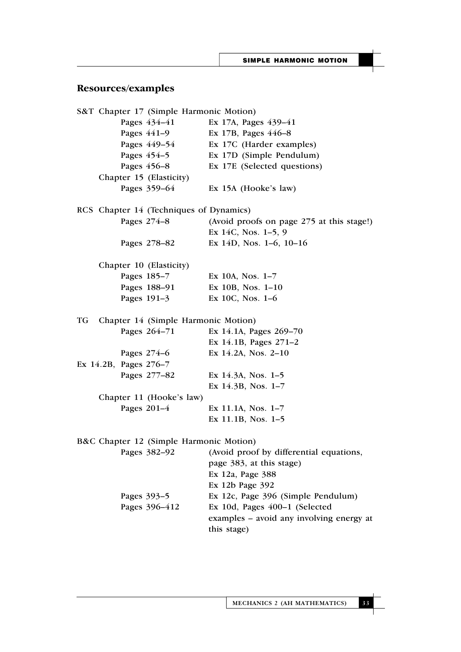## **Resources/examples**

|    | S&T Chapter 17 (Simple Harmonic Motion) |                                         |                                           |  |  |  |
|----|-----------------------------------------|-----------------------------------------|-------------------------------------------|--|--|--|
|    |                                         | Pages $434-41$                          | Ex 17A, Pages 439-41                      |  |  |  |
|    |                                         | Pages $441-9$                           | Ex 17B, Pages 446-8                       |  |  |  |
|    |                                         | Pages 449–54                            | Ex 17C (Harder examples)                  |  |  |  |
|    |                                         | Pages $454-5$                           | Ex 17D (Simple Pendulum)                  |  |  |  |
|    |                                         | Pages 456-8                             | Ex 17E (Selected questions)               |  |  |  |
|    |                                         | Chapter 15 (Elasticity)                 |                                           |  |  |  |
|    |                                         | Pages 359-64                            | Ex 15A (Hooke's law)                      |  |  |  |
|    | RCS Chapter 14 (Techniques of Dynamics) |                                         |                                           |  |  |  |
|    |                                         | Pages 274-8                             | (Avoid proofs on page 275 at this stage!) |  |  |  |
|    |                                         |                                         | Ex 14C, Nos. 1–5, 9                       |  |  |  |
|    |                                         | Pages 278–82                            | Ex 14D, Nos. 1–6, 10–16                   |  |  |  |
|    |                                         | Chapter 10 (Elasticity)                 |                                           |  |  |  |
|    |                                         | Pages 185-7                             | Ex 10A, Nos. 1-7                          |  |  |  |
|    |                                         | Pages 188–91                            | Ex 10B, Nos. 1-10                         |  |  |  |
|    |                                         | Pages 191–3                             | Ex 10C, Nos. 1-6                          |  |  |  |
| TG | Chapter 14 (Simple Harmonic Motion)     |                                         |                                           |  |  |  |
|    |                                         | Pages 264-71                            | Ex 14.1A, Pages 269-70                    |  |  |  |
|    |                                         |                                         | Ex 14.1B, Pages 271-2                     |  |  |  |
|    |                                         | Pages 274-6                             | Ex 14.2A, Nos. 2-10                       |  |  |  |
|    | Ex 14.2B, Pages 276-7                   |                                         |                                           |  |  |  |
|    |                                         | Pages 277-82                            | Ex $14.3A$ , Nos. $1-5$                   |  |  |  |
|    |                                         |                                         | Ex $14.3B$ , Nos. $1-7$                   |  |  |  |
|    |                                         | Chapter 11 (Hooke's law)                |                                           |  |  |  |
|    |                                         | Pages 201-4                             | Ex 11.1A, Nos. $1-7$                      |  |  |  |
|    |                                         |                                         | Ex 11.1B, Nos. 1–5                        |  |  |  |
|    |                                         | B&C Chapter 12 (Simple Harmonic Motion) |                                           |  |  |  |
|    |                                         | Pages 382-92                            | (Avoid proof by differential equations,   |  |  |  |
|    |                                         |                                         | page 383, at this stage)                  |  |  |  |
|    |                                         |                                         | Ex 12a, Page 388                          |  |  |  |
|    |                                         |                                         | Ex 12b Page 392                           |  |  |  |
|    |                                         | Pages 393–5                             | Ex 12c, Page 396 (Simple Pendulum)        |  |  |  |
|    |                                         | Pages 396-412                           | Ex 10d, Pages 400–1 (Selected             |  |  |  |
|    |                                         |                                         | examples – avoid any involving energy at  |  |  |  |
|    |                                         |                                         | this stage)                               |  |  |  |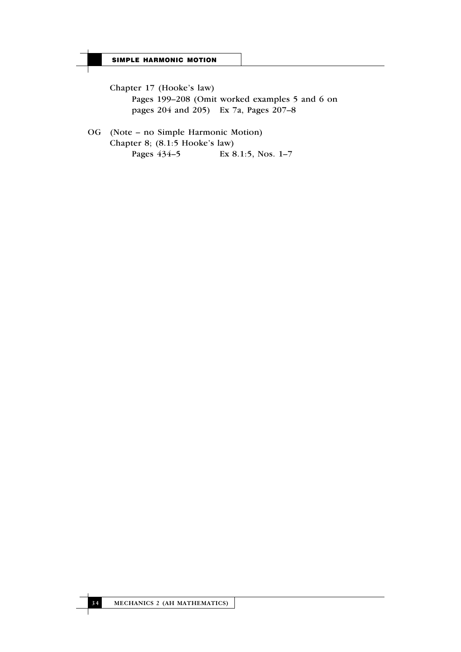Chapter 17 (Hooke's law) Pages 199–208 (Omit worked examples 5 and 6 on pages 204 and 205) Ex 7a, Pages 207–8

OG (Note – no Simple Harmonic Motion) Chapter 8; (8.1:5 Hooke's law) Pages 434–5 Ex 8.1:5, Nos. 1–7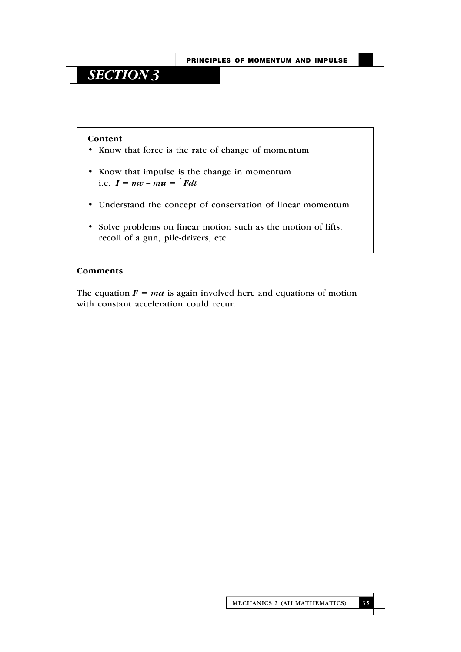# *SECTION 3*

## **Content**

- Know that force is the rate of change of momentum
- Know that impulse is the change in momentum i.e.  $I = mv - mu = \int F dt$
- Understand the concept of conservation of linear momentum
- Solve problems on linear motion such as the motion of lifts, recoil of a gun, pile-drivers, etc.

## **Comments**

The equation  $F = ma$  is again involved here and equations of motion with constant acceleration could recur.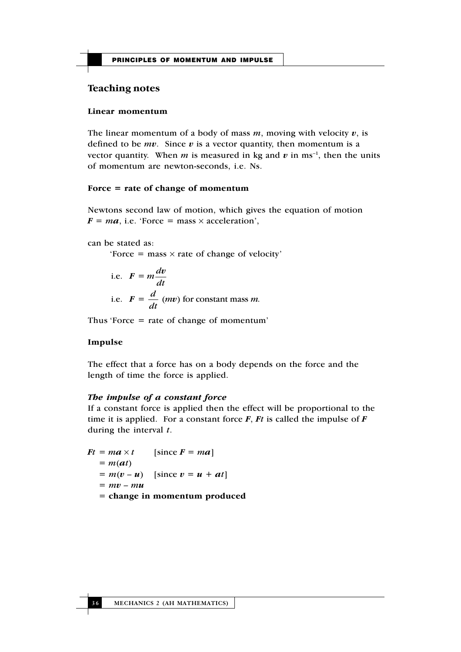## **Teaching notes**

#### **Linear momentum**

The linear momentum of a body of mass  $m$ , moving with velocity  $v$ , is defined to be  $mv$ . Since  $v$  is a vector quantity, then momentum is a vector quantity. When  $m$  is measured in kg and  $v$  in ms<sup>-1</sup>, then the units of momentum are newton-seconds, i.e. Ns.

### **Force = rate of change of momentum**

Newtons second law of motion, which gives the equation of motion  $F = ma$ , i.e. 'Force = mass × acceleration',

can be stated as:

'Force = mass  $\times$  rate of change of velocity'

i.e. 
$$
F = m \frac{dv}{dt}
$$
  
i.e.  $F = \frac{d}{dt} (mv)$  for constant mass m.

Thus 'Force = rate of change of momentum'

#### **Impulse**

The effect that a force has on a body depends on the force and the length of time the force is applied.

#### *The impulse of a constant force*

If a constant force is applied then the effect will be proportional to the time it is applied. For a constant force *F*, *Ft* is called the impulse of *F* during the interval *t*.

 $Ft = ma \times t$  [since  $F = ma$ ]  $= m(at)$  $= m(v - u)$  [since  $v = u + at$ ]  $= mv - mu$ = **change in momentum produced**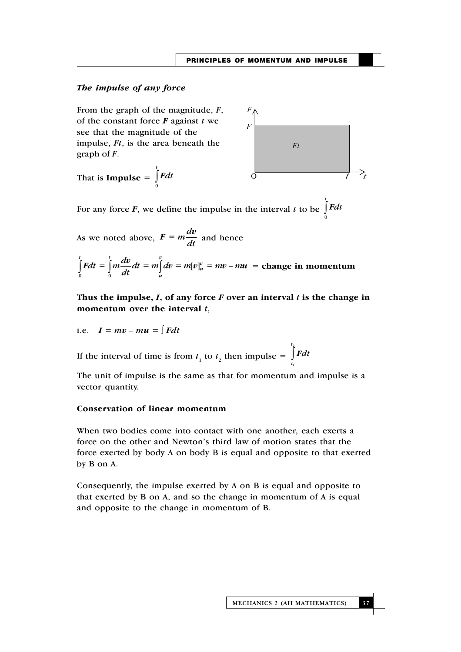*F*

# *The impulse of any force*

From the graph of the magnitude, *F*, of the constant force *F* against *t* we see that the magnitude of the impulse, *Ft*, is the area beneath the graph of *F*.

That is **Impulse** = 
$$
\int_{0}^{t} Fdt
$$

 $\overline{O}$ *F*  $t \t\gamma$ *Ft t t*

For any force *F*, we define the impulse in the interval *t* to be  $\int_{0}^{R} dt$ *t*

As we noted above, 
$$
F = m \frac{dv}{dt}
$$
 and hence

$$
\int_{0}^{t} Fdt = \int_{0}^{t} m \frac{dv}{dt} dt = m \int_{u}^{v} dv = m[v]_{u}^{v} = mv - mu = \text{change in momentum}
$$

**Thus the impulse,** *I***, of any force** *F* **over an interval** *t* **is the change in momentum over the interval** *t*,

i.e. 
$$
I = mv - mu = \int Fdt
$$

If the interval of time is from 
$$
t_1
$$
 to  $t_2$  then impulse =  $\int_{t_1}^{t_2} F dt$ 

The unit of impulse is the same as that for momentum and impulse is a vector quantity.

# **Conservation of linear momentum**

When two bodies come into contact with one another, each exerts a force on the other and Newton's third law of motion states that the force exerted by body A on body B is equal and opposite to that exerted by B on A.

Consequently, the impulse exerted by A on B is equal and opposite to that exerted by B on A, and so the change in momentum of A is equal and opposite to the change in momentum of B.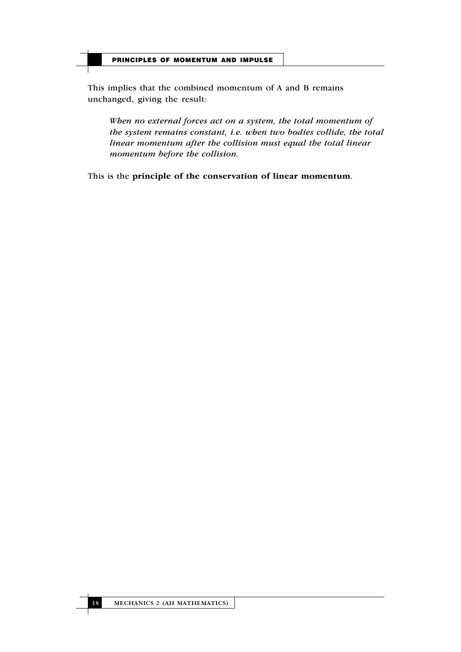### PRINCIPLES OF MOMENTUM AND IMPULSE

This implies that the combined momentum of A and B remains unchanged, giving the result:

*When no external forces act on a system, the total momentum of the system remains constant, i.e. when two bodies collide, the total linear momentum after the collision must equal the total linear momentum before the collision.*

This is the **principle of the conservation of linear momentum**.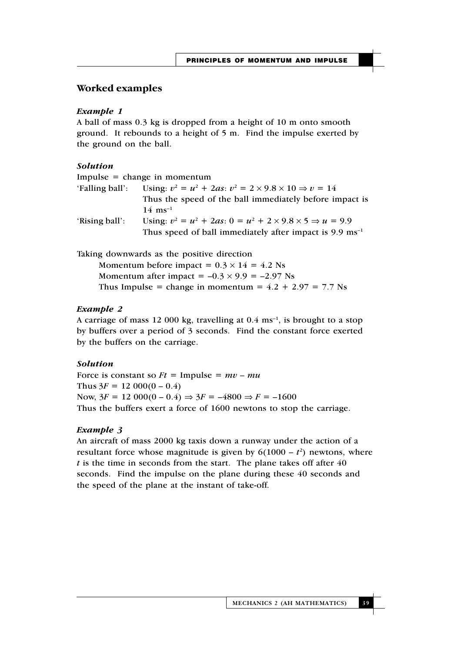# **Worked examples**

### *Example 1*

A ball of mass 0.3 kg is dropped from a height of 10 m onto smooth ground. It rebounds to a height of 5 m. Find the impulse exerted by the ground on the ball.

# *Solution*

| $Impulse = change in momentum$ |                                                                                  |  |  |  |
|--------------------------------|----------------------------------------------------------------------------------|--|--|--|
| 'Falling ball':                | Using: $v^2 = u^2 + 2as$ : $v^2 = 2 \times 9.8 \times 10 \Rightarrow v = 14$     |  |  |  |
|                                | Thus the speed of the ball immediately before impact is                          |  |  |  |
|                                | $14 \text{ ms}^{-1}$                                                             |  |  |  |
| 'Rising ball':                 | Using: $v^2 = u^2 + 2as$ : $0 = u^2 + 2 \times 9.8 \times 5 \Rightarrow u = 9.9$ |  |  |  |
|                                | Thus speed of ball immediately after impact is $9.9 \text{ ms}^{-1}$             |  |  |  |

Taking downwards as the positive direction

Momentum before impact =  $0.3 \times 14 = 4.2$  Ns Momentum after impact =  $-0.3 \times 9.9 = -2.97$  Ns Thus Impulse = change in momentum =  $4.2 + 2.97 = 7.7$  Ns

### *Example 2*

A carriage of mass 12 000 kg, travelling at  $0.4 \text{ ms}^{-1}$ , is brought to a stop by buffers over a period of 3 seconds. Find the constant force exerted by the buffers on the carriage.

### *Solution*

Force is constant so  $Ft = \text{Impulse} = mv - mu$ Thus  $3F = 12000(0 - 0.4)$ Now,  $3F = 12\,000(0 - 0.4) \Rightarrow 3F = -4800 \Rightarrow F = -1600$ Thus the buffers exert a force of 1600 newtons to stop the carriage.

### *Example 3*

An aircraft of mass 2000 kg taxis down a runway under the action of a resultant force whose magnitude is given by  $6(1000 - t^2)$  newtons, where *t* is the time in seconds from the start. The plane takes off after 40 seconds. Find the impulse on the plane during these 40 seconds and the speed of the plane at the instant of take-off.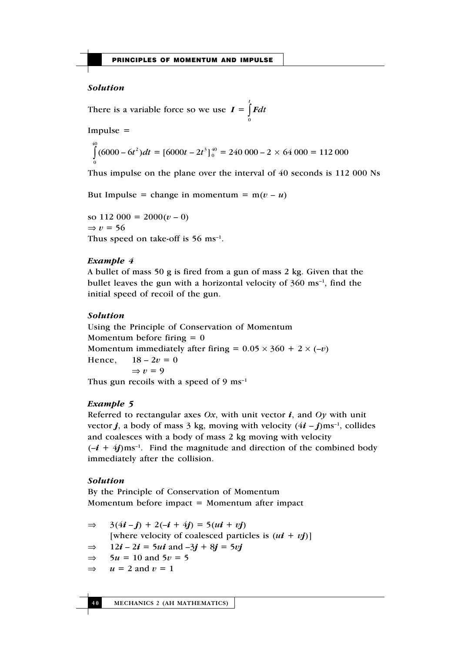### *Solution*

There is a variable force so we use  $I = \int F dt$ *t*

Impulse =

$$
\int_{0}^{40} (6000 - 6t^2) dt = [6000t - 2t^3]_{0}^{40} = 240\,000 - 2 \times 64\,000 = 112\,000
$$

Thus impulse on the plane over the interval of 40 seconds is 112 000 Ns

0

But Impulse = change in momentum =  $m(v - u)$ 

so 112 000 = 2000(*v* – 0)  $\Rightarrow$  *v* = 56 Thus speed on take-off is  $56 \text{ ms}^{-1}$ .

### *Example 4*

A bullet of mass 50 g is fired from a gun of mass 2 kg. Given that the bullet leaves the gun with a horizontal velocity of 360 ms<sup>-1</sup>, find the initial speed of recoil of the gun.

### *Solution*

Using the Principle of Conservation of Momentum Momentum before firing  $= 0$ Momentum immediately after firing =  $0.05 \times 360 + 2 \times (-v)$ Hence,  $18 - 2v = 0$  $\Rightarrow$  *v* = 9 Thus gun recoils with a speed of 9  $\text{ms}^{-1}$ 

### *Example 5*

Referred to rectangular axes  $Ox$ , with unit vector *i*, and  $Oy$  with unit vector *j*, a body of mass 3 kg, moving with velocity  $(4i - j)$ ms<sup>-1</sup>, collides and coalesces with a body of mass 2 kg moving with velocity  $(-i + 4j)$ ms<sup>-1</sup>. Find the magnitude and direction of the combined body immediately after the collision.

### *Solution*

By the Principle of Conservation of Momentum Momentum before impact = Momentum after impact

 $\Rightarrow$  3(4*i* – *j*) + 2(-*i* + 4*j*) = 5(*ui* + *vj*) [where velocity of coalesced particles is  $(ui + vj)$ ]  $\Rightarrow$  12*i* – 2*i* = 5*ui* and –3*j* + 8*j* = 5*vj*  $\Rightarrow$  5*u* = 10 and 5*v* = 5  $\Rightarrow$  *u* = 2 and *v* = 1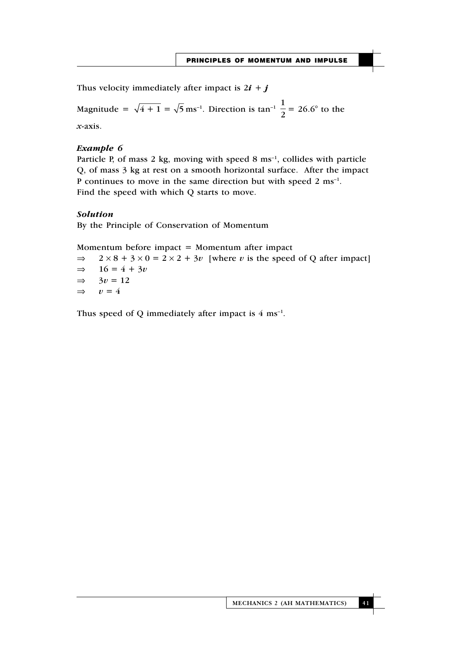Thus velocity immediately after impact is  $2i + j$ 

Magnitude =  $\sqrt{4+1} = \sqrt{5}$  ms<sup>-1</sup>. Direction is tan<sup>-1</sup>  $\frac{1}{2}$  = 26.6° to the *x*-axis.

# *Example 6*

Particle P, of mass 2 kg, moving with speed  $8 \text{ ms}^{-1}$ , collides with particle Q, of mass 3 kg at rest on a smooth horizontal surface. After the impact P continues to move in the same direction but with speed 2 ms<sup>-1</sup>. Find the speed with which Q starts to move.

# *Solution*

By the Principle of Conservation of Momentum

Momentum before impact = Momentum after impact

 $\Rightarrow$  2 × 8 + 3 × 0 = 2 × 2 + 3*v* [where *v* is the speed of Q after impact]

- $\implies$  16 = 4 + 3*v*
- $\Rightarrow$  3*v* = 12
- $\Rightarrow v = 4$

Thus speed of Q immediately after impact is  $4 \text{ ms}^{-1}$ .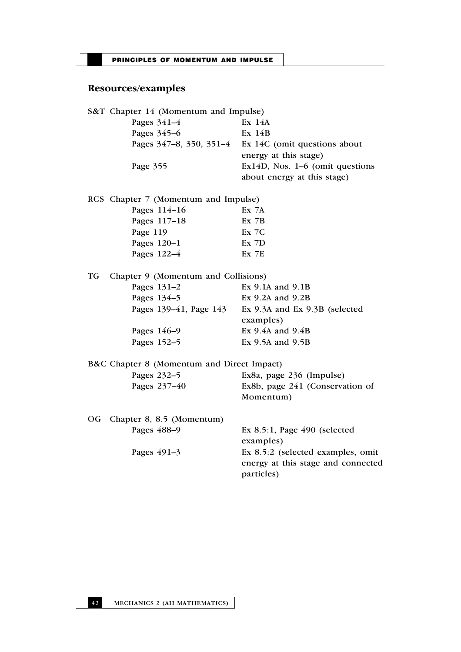# **Resources/examples**

|    | S&T Chapter 14 (Momentum and Impulse)      |                                                              |  |  |  |
|----|--------------------------------------------|--------------------------------------------------------------|--|--|--|
|    | Pages 341-4                                | Ex 14A                                                       |  |  |  |
|    | Pages 345-6                                | Ex 14B                                                       |  |  |  |
|    |                                            | Pages $347-8$ , $350$ , $351-4$ Ex 14C (omit questions about |  |  |  |
|    |                                            | energy at this stage)                                        |  |  |  |
|    | Page 355                                   | Ex14D, Nos. 1-6 (omit questions                              |  |  |  |
|    |                                            | about energy at this stage)                                  |  |  |  |
|    | RCS Chapter 7 (Momentum and Impulse)       |                                                              |  |  |  |
|    | Pages 114-16                               | Ex 7A                                                        |  |  |  |
|    | Pages 117-18                               | $\mathbf{Ex}$ 78                                             |  |  |  |
|    | Page 119                                   | Ex 7C                                                        |  |  |  |
|    | Pages 120-1                                | Ex 7D                                                        |  |  |  |
|    | Pages 122-4                                | $Ex$ 7 $E$                                                   |  |  |  |
| TG | Chapter 9 (Momentum and Collisions)        |                                                              |  |  |  |
|    | Pages 131-2                                | Ex 9.1A and 9.1B                                             |  |  |  |
|    | Pages 134-5                                | Ex $9.2A$ and $9.2B$                                         |  |  |  |
|    | Pages 139–41, Page 143                     | Ex 9.3A and Ex 9.3B (selected                                |  |  |  |
|    |                                            | examples)                                                    |  |  |  |
|    | Pages 146-9                                | Ex $9.4A$ and $9.4B$                                         |  |  |  |
|    | Pages 152-5                                | Ex 9.5A and 9.5B                                             |  |  |  |
|    | B&C Chapter 8 (Momentum and Direct Impact) |                                                              |  |  |  |
|    | Pages 232-5                                | Ex8a, page 236 (Impulse)                                     |  |  |  |
|    | Pages 237-40                               | Ex8b, page 241 (Conservation of                              |  |  |  |
|    |                                            | Momentum)                                                    |  |  |  |
|    | OG Chapter 8, 8.5 (Momentum)               |                                                              |  |  |  |
|    | Pages 488-9                                | Ex $8.5:1$ , Page $490$ (selected                            |  |  |  |
|    |                                            | examples)                                                    |  |  |  |
|    | Pages 491-3                                | Ex 8.5:2 (selected examples, omit                            |  |  |  |
|    |                                            | energy at this stage and connected                           |  |  |  |

particles)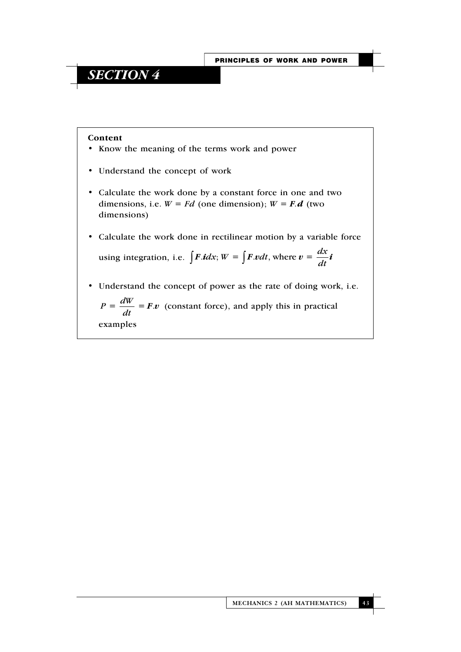# *SECTION 4*

### **Content**

- Know the meaning of the terms work and power
- Understand the concept of work
- Calculate the work done by a constant force in one and two dimensions, i.e.  $W = Fd$  (one dimension);  $W = F.d$  (two dimensions)

• Calculate the work done in rectilinear motion by a variable force

using integration, i.e.  $\int \vec{F} \cdot \vec{i} dx$ ;  $W = \int \vec{F} \cdot v dt$ , where  $v = \frac{dx}{dt} \vec{i}$ 

• Understand the concept of power as the rate of doing work, i.e.

 $P = \frac{dW}{dt} = F.$ *dt F v* (constant force), and apply this in practical examples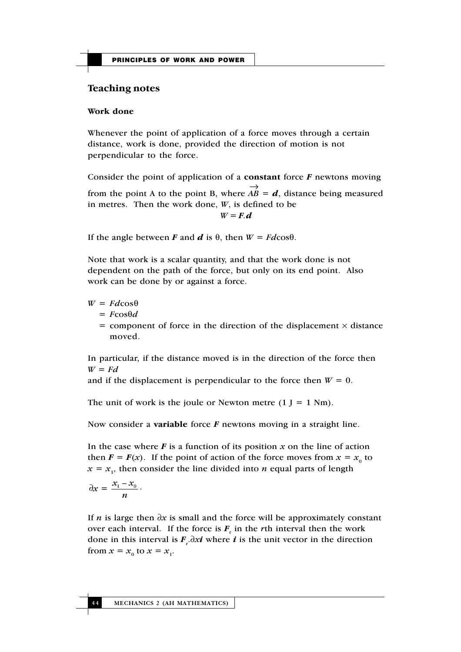# **Teaching notes**

### **Work done**

Whenever the point of application of a force moves through a certain distance, work is done, provided the direction of motion is not perpendicular to the force.

Consider the point of application of a **constant** force *F* newtons moving from the point A to the point B, where  $AB = d$ , distance being measured in metres. Then the work done, *W*, is defined to be  $W = F.d$  $\rightarrow$ 

If the angle between *F* and *d* is θ, then  $W = Fd\cos\theta$ .

Note that work is a scalar quantity, and that the work done is not dependent on the path of the force, but only on its end point. Also work can be done by or against a force.

 $W = Fd\cos\theta$ 

- $= F \cos \theta d$
- $=$  component of force in the direction of the displacement  $\times$  distance moved.

In particular, if the distance moved is in the direction of the force then  $W = Fd$ 

and if the displacement is perpendicular to the force then  $W = 0$ .

The unit of work is the joule or Newton metre  $(1 J = 1 Nm)$ .

Now consider a **variable** force *F* newtons moving in a straight line.

In the case where  $F$  is a function of its position  $x$  on the line of action then  $F = F(x)$ . If the point of action of the force moves from  $x = x_0$  to  $x = x_1$ , then consider the line divided into *n* equal parts of length

$$
\partial x = \frac{x_1 - x_0}{n}.
$$

If *n* is large then ∂*x* is small and the force will be approximately constant over each interval. If the force is  $F_r$  in the *r*th interval then the work done in this interval is *F*<sup>r</sup> .∂*xi* where *i* is the unit vector in the direction from  $x = x_0$  to  $x = x_1$ .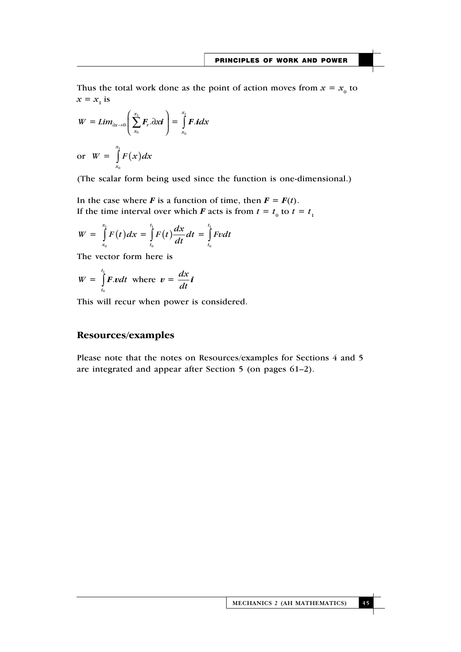Thus the total work done as the point of action moves from  $x = x_0$  to  $x = x_1$  is

$$
W = Lim_{\partial x \to 0} \left( \sum_{x_0}^{x_1} F_r . \partial x \mathbf{i} \right) = \int_{x_0}^{x_1} F \cdot \mathbf{i} dx
$$

or  $W = \int_{0}^{x_1} F(x)$ 0 =  $W = \int\limits_{x_0}^{\infty} F(x) dx$ 

(The scalar form being used since the function is one-dimensional.)

In the case where *F* is a function of time, then  $F = F(t)$ . If the time interval over which *F* acts is from  $t = t_0$  to  $t = t_1$ 

$$
W = \int_{x_0}^{x_1} F(t) dx = \int_{t_0}^{t_1} F(t) \frac{dx}{dt} dt = \int_{t_0}^{t_1} Fv dt
$$

The vector form here is

$$
W = \int_{t_0}^{t_1} \mathbf{F} \cdot \mathbf{v} dt \text{ where } \mathbf{v} = \frac{dx}{dt} \mathbf{i}
$$

This will recur when power is considered.

# **Resources/examples**

Please note that the notes on Resources/examples for Sections 4 and 5 are integrated and appear after Section 5 (on pages 61–2).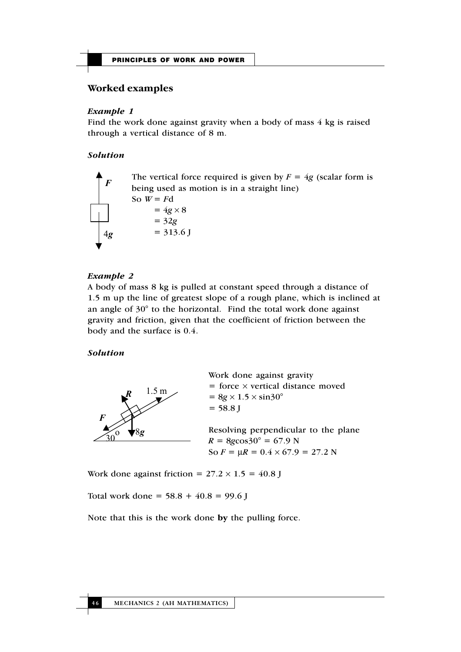# **Worked examples**

### *Example 1*

Find the work done against gravity when a body of mass 4 kg is raised through a vertical distance of 8 m.

### *Solution*

*F*

The vertical force required is given by  $F = 4g$  (scalar form is being used as motion is in a straight line)

$$
\begin{array}{c}\n\downarrow \\
\downarrow \\
4g\n\end{array}
$$

So  $W = Fd$  $= 4g \times 8$ = 32*g*  $= 313.6$  J

### *Example 2*

A body of mass 8 kg is pulled at constant speed through a distance of 1.5 m up the line of greatest slope of a rough plane, which is inclined at an angle of 30° to the horizontal. Find the total work done against gravity and friction, given that the coefficient of friction between the body and the surface is 0.4.

### *Solution*



Work done against friction =  $27.2 \times 1.5 = 40.8$  J

Total work done =  $58.8 + 40.8 = 99.6$  J

Note that this is the work done **by** the pulling force.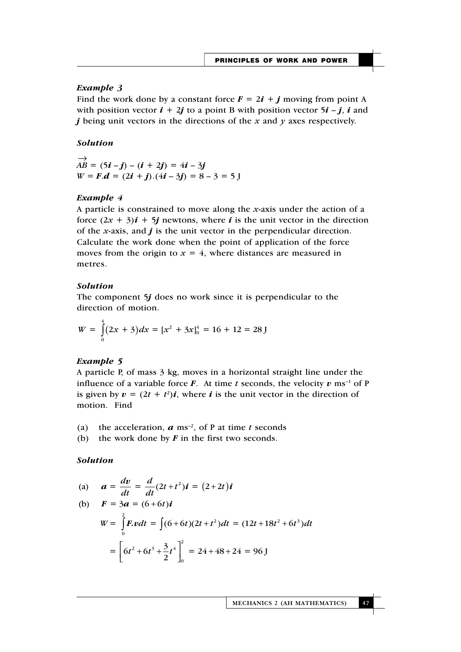### *Example 3*

Find the work done by a constant force  $\mathbf{F} = 2\mathbf{i} + \mathbf{j}$  moving from point A with position vector  $\mathbf{i} + 2\mathbf{j}$  to a point B with position vector  $5\mathbf{i} - \mathbf{j}$ ,  $\mathbf{i}$  and *j* being unit vectors in the directions of the *x* and *y* axes respectively.

### *Solution*

 $AB = (5i - j) - (i + 2j) = 4i - 3j$  $W = F.d = (2i + j).(4i - 3j) = 8 - 3 = 5$  $\rightarrow$ 

### *Example 4*

A particle is constrained to move along the *x*-axis under the action of a force  $(2x + 3)i + 5j$  newtons, where *i* is the unit vector in the direction of the *x*-axis, and *j* is the unit vector in the perpendicular direction. Calculate the work done when the point of application of the force moves from the origin to  $x = 4$ , where distances are measured in metres.

## *Solution*

The component 5*j* does no work since it is perpendicular to the direction of motion.

$$
W = \int_{0}^{4} (2x + 3) dx = [x^{2} + 3x]_{0}^{4} = 16 + 12 = 28
$$

### *Example 5*

A particle P, of mass 3 kg, moves in a horizontal straight line under the influence of a variable force  $\vec{F}$ . At time  $t$  seconds, the velocity  $v$  ms<sup>-1</sup> of P is given by  $v = (2t + t^2)i$ , where *i* is the unit vector in the direction of motion. Find

- (a) the acceleration,  $\boldsymbol{a}$  ms<sup>-2</sup>, of P at time *t* seconds
- (b) the work done by  $F$  in the first two seconds.

## *Solution*

(a) 
$$
\boldsymbol{a} = \frac{d\boldsymbol{v}}{dt} = \frac{d}{dt}(2t + t^2)\boldsymbol{i} = (2 + 2t)\boldsymbol{i}
$$

(b) 
$$
\mathbf{F} = 3\mathbf{a} = (6+6t)\mathbf{i}
$$
  
\n
$$
W = \int_{0}^{2} \mathbf{F} \cdot \mathbf{v} dt = \int (6+6t)(2t+t^2) dt = (12t+18t^2+6t^3) dt
$$
\n
$$
= \left[ 6t^2 + 6t^3 + \frac{3}{2}t^4 \right]_{0}^{2} = 24 + 48 + 24 = 96 \text{ J}
$$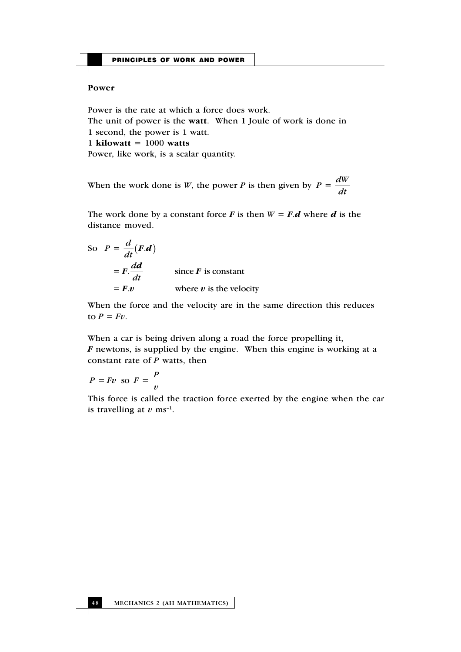# **Power**

Power is the rate at which a force does work. The unit of power is the **watt**. When 1 Joule of work is done in 1 second, the power is 1 watt. 1 **kilowatt** = 1000 **watts** Power, like work, is a scalar quantity.

When the work done is *W*, the power *P* is then given by  $P = \frac{dW}{dt}$ *dt*

The work done by a constant force  $\vec{F}$  is then  $W = \vec{F} \cdot \vec{d}$  where  $\vec{d}$  is the distance moved.

So 
$$
P = \frac{d}{dt}(F.d)
$$
  
\n $= F \cdot \frac{dd}{dt}$  since *F* is constant  
\n $= F.v$  where *v* is the velocity

When the force and the velocity are in the same direction this reduces to  $P = Fv$ .

When a car is being driven along a road the force propelling it, *F* newtons, is supplied by the engine. When this engine is working at a constant rate of *P* watts, then

$$
P = Fv \text{ so } F = \frac{P}{v}
$$

This force is called the traction force exerted by the engine when the car is travelling at  $v$  ms<sup>-1</sup>.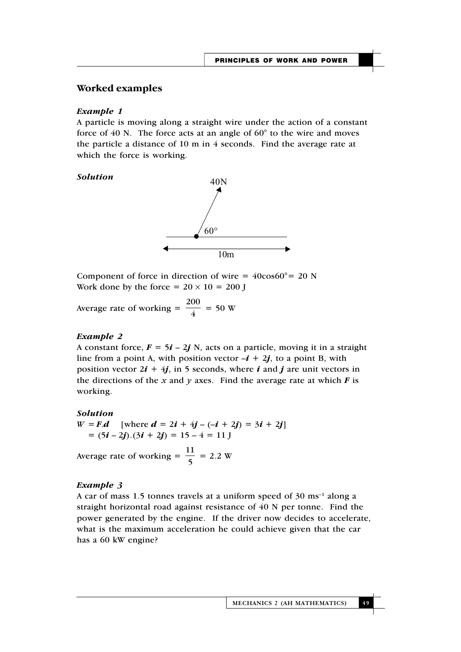# **Worked examples**

### *Example 1*

A particle is moving along a straight wire under the action of a constant force of 40 N. The force acts at an angle of  $60^{\circ}$  to the wire and moves the particle a distance of 10 m in 4 seconds. Find the average rate at which the force is working.

### *Solution*



Component of force in direction of wire =  $40cos60^\circ = 20$  N Work done by the force  $= 20 \times 10 = 200$  J

Average rate of working = 200  $\frac{36}{4}$  = 50 W

### *Example 2*

A constant force,  $F = 5i - 2j$  N, acts on a particle, moving it in a straight line from a point A, with position vector  $-i + 2j$ , to a point B, with position vector  $2i + 4j$ , in 5 seconds, where *i* and *j* are unit vectors in the directions of the  $x$  and  $y$  axes. Find the average rate at which  $F$  is working.

### *Solution*

*W* = *F.d* [where *d* = 2*i* + 4*j* –  $(-i + 2j) = 3i + 2j$ ]  $= (5i - 2j) \cdot (3i + 2j) = 15 - 4 = 11 \text{ J}$ 

Average rate of working  $=$   $\frac{11}{5}$  $\frac{1}{5}$  = 2.2 W

### *Example 3*

A car of mass 1.5 tonnes travels at a uniform speed of  $30 \text{ ms}^{-1}$  along a straight horizontal road against resistance of 40 N per tonne. Find the power generated by the engine. If the driver now decides to accelerate, what is the maximum acceleration he could achieve given that the car has a 60 kW engine?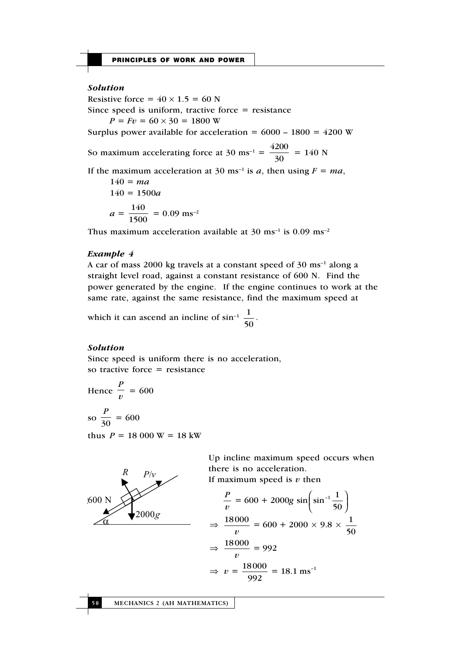### *Solution*

Resistive force =  $40 \times 1.5 = 60$  N Since speed is uniform, tractive force  $=$  resistance  $P = Fv = 60 \times 30 = 1800$  W Surplus power available for acceleration =  $6000 - 1800 = 4200$  W

So maximum accelerating force at 30 ms<sup>-1</sup> =  $\frac{4200}{30}$  $\frac{200}{30}$  = 140 N

If the maximum acceleration at 30 ms<sup>-1</sup> is *a*, then using  $F = ma$ ,

140 = *ma* 140 = 1500*a*  $a = \frac{140}{1500} = 0.09$  ms<sup>-2</sup>

Thus maximum acceleration available at  $30 \text{ ms}^{-1}$  is  $0.09 \text{ ms}^{-2}$ 

### *Example 4*

A car of mass 2000 kg travels at a constant speed of 30 ms–1 along a straight level road, against a constant resistance of 600 N. Find the power generated by the engine. If the engine continues to work at the same rate, against the same resistance, find the maximum speed at

which it can ascend an incline of  $\sin^{-1} \frac{1}{50}$ .

### *Solution*

Since speed is uniform there is no acceleration, so tractive force  $=$  resistance

Hence 
$$
\frac{P}{v} = 600
$$
  
so  $\frac{P}{30} = 600$ 

thus  $P = 18000 \text{ W} = 18 \text{ kW}$ 



Up incline maximum speed occurs when there is no acceleration.

If maximum speed is *v* then

$$
\frac{P}{v} = 600 + 2000g \sin\left(\sin^{-1}\frac{1}{50}\right)
$$
  
\n⇒  $\frac{18000}{v} = 600 + 2000 \times 9.8 \times \frac{1}{50}$   
\n⇒  $\frac{18000}{v} = 992$   
\n⇒  $v = \frac{18000}{992} = 18.1 \text{ ms}^{-1}$ 

**5 0 MECHANICS 2 (AH MATHEMATICS)**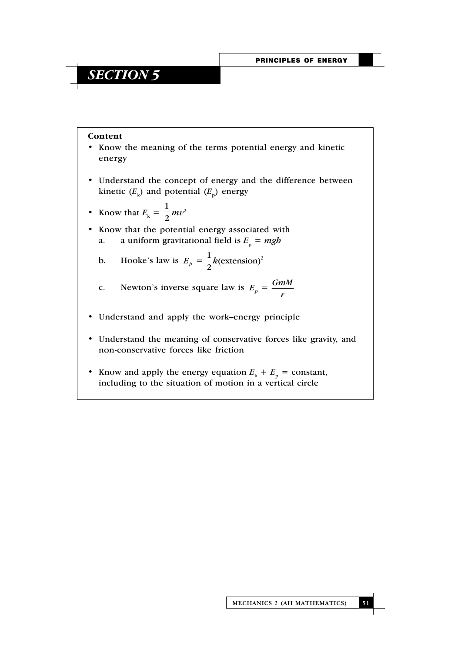# *SECTION 5*

### **Content**

- Know the meaning of the terms potential energy and kinetic energy
- Understand the concept of energy and the difference between kinetic  $(E_{\rm k})$  and potential  $(E_{\rm p})$  energy

• Know that 
$$
E_k = \frac{1}{2}mv^2
$$

- Know that the potential energy associated with a. a uniform gravitational field is  $E_p = mgb$ 
	- b. Hooke's law is  $E_p = \frac{1}{2}k(\text{extension})^2$

c. Newton's inverse square law is 
$$
E_p = \frac{GmM}{r}
$$

- Understand and apply the work–energy principle
- Understand the meaning of conservative forces like gravity, and non-conservative forces like friction
- Know and apply the energy equation  $E_k + E_p = \text{constant}$ , including to the situation of motion in a vertical circle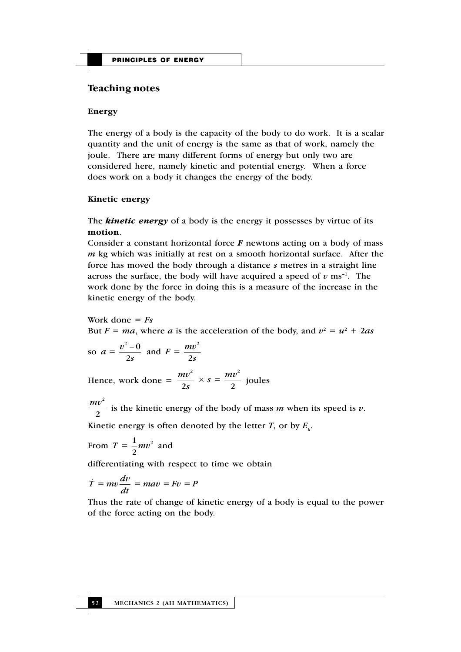# **Teaching notes**

### **Energy**

The energy of a body is the capacity of the body to do work. It is a scalar quantity and the unit of energy is the same as that of work, namely the joule. There are many different forms of energy but only two are considered here, namely kinetic and potential energy. When a force does work on a body it changes the energy of the body.

## **Kinetic energy**

The *kinetic energy* of a body is the energy it possesses by virtue of its **motion**.

Consider a constant horizontal force *F* newtons acting on a body of mass *m* kg which was initially at rest on a smooth horizontal surface. After the force has moved the body through a distance *s* metres in a straight line across the surface, the body will have acquired a speed of  $v$  ms<sup>-1</sup>. The work done by the force in doing this is a measure of the increase in the kinetic energy of the body.

Work done = *Fs*

But  $F = ma$ , where *a* is the acceleration of the body, and  $v^2 = u^2 + 2as$ 

so 
$$
a = \frac{v^2 - 0}{2s}
$$
 and  $F = \frac{mv^2}{2s}$ 

Hence, work done = 2  $\cdots$   $\cdots$   $\cdots$   $\cdots$   $\cdots$  $\times$  s =  $2s$  2  $\frac{mv^2}{2} \times s = \frac{mv^2}{2}$  $\frac{s}{s}$  × *s* =  $\frac{me}{2}$  joules

2 2 *mv* is the kinetic energy of the body of mass *m* when its speed is *v*.

Kinetic energy is often denoted by the letter  $T$ , or by  $E_{\rm k}$ .

From 
$$
T = \frac{1}{2}mv^2
$$
 and

differentiating with respect to time we obtain

$$
\dot{T} = mv \frac{dv}{dt} = mav = Fv = P
$$

Thus the rate of change of kinetic energy of a body is equal to the power of the force acting on the body.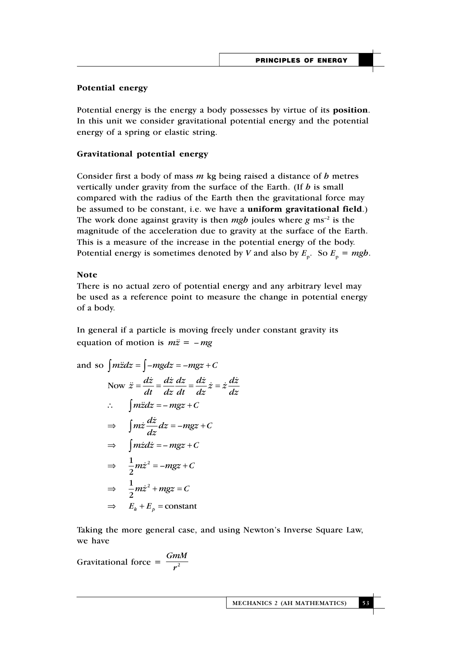# **Potential energy**

Potential energy is the energy a body possesses by virtue of its **position**. In this unit we consider gravitational potential energy and the potential energy of a spring or elastic string.

### **Gravitational potential energy**

Consider first a body of mass *m* kg being raised a distance of *h* metres vertically under gravity from the surface of the Earth. (If *h* is small compared with the radius of the Earth then the gravitational force may be assumed to be constant, i.e. we have a **uniform gravitational field**.) The work done against gravity is then *mgh* joules where *g* ms–2 is the magnitude of the acceleration due to gravity at the surface of the Earth. This is a measure of the increase in the potential energy of the body. Potential energy is sometimes denoted by *V* and also by  $E_p$ . So  $E_p = mgb$ .

### **Note**

There is no actual zero of potential energy and any arbitrary level may be used as a reference point to measure the change in potential energy of a body.

In general if a particle is moving freely under constant gravity its equation of motion is  $m\ddot{z} = -mg$ 

and so 
$$
\int m\ddot{z}dz = \int -mgdz = -mgz + C
$$
  
\nNow  $\ddot{z} = \frac{d\dot{z}}{dt} = \frac{d\dot{z}}{dz} \frac{dz}{dt} = \frac{d\dot{z}}{dz} \dot{z} = \dot{z}\frac{d\dot{z}}{dz}$   
\n $\therefore \quad \int m\ddot{z}dz = -mgz + C$   
\n $\Rightarrow \quad \int m\dot{z}d\dot{z} = -mgz + C$   
\n $\Rightarrow \quad \int m\dot{z}d\dot{z} = -mgz + C$   
\n $\Rightarrow \quad \frac{1}{2}m\dot{z}^2 = -mgz + C$   
\n $\Rightarrow \quad \frac{1}{2}m\dot{z}^2 + mgz = C$   
\n $\Rightarrow \quad E_k + E_p = \text{constant}$ 

Taking the more general case, and using Newton's Inverse Square Law, we have

Gravitational force  $=\frac{3\pi}{r^2}$ *GmM r*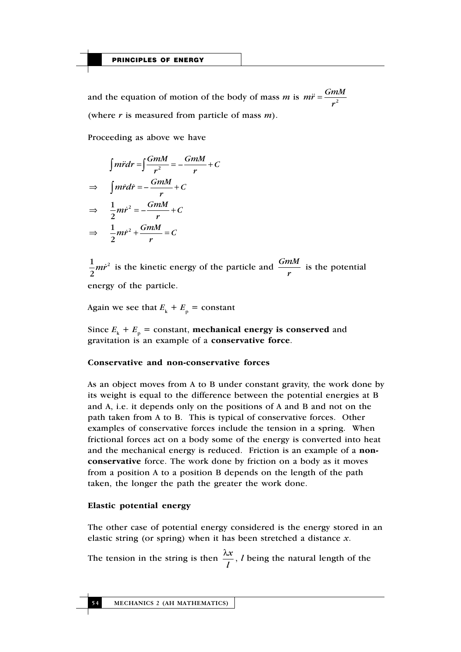and the equation of motion of the body of mass *m* is  $m\ddot{r} = \frac{GmM}{r^2}$ (where *r* is measured from particle of mass *m*).

Proceeding as above we have

$$
\int \text{m} \vec{r} \, d\vec{r} = \int \frac{GmM}{r^2} = -\frac{GmM}{r} + C
$$
\n
$$
\Rightarrow \quad \int \text{m} \vec{r} \, d\vec{r} = -\frac{GmM}{r} + C
$$
\n
$$
\Rightarrow \quad \frac{1}{2} m \vec{r}^2 = -\frac{GmM}{r} + C
$$
\n
$$
\Rightarrow \quad \frac{1}{2} m \vec{r}^2 + \frac{GmM}{r} = C
$$

 $1$   $\cdots$   $\cdots$ 2  $m\dot{r}^2$  is the kinetic energy of the particle and  $\frac{GmM}{r}$ *r* is the potential energy of the particle.

Again we see that  $E_k + E_p = constant$ 

Since  $E_k + E_p$  = constant, **mechanical energy is conserved** and gravitation is an example of a **conservative force**.

### **Conservative and non-conservative forces**

As an object moves from A to B under constant gravity, the work done by its weight is equal to the difference between the potential energies at B and A, i.e. it depends only on the positions of A and B and not on the path taken from A to B. This is typical of conservative forces. Other examples of conservative forces include the tension in a spring. When frictional forces act on a body some of the energy is converted into heat and the mechanical energy is reduced. Friction is an example of a **nonconservative** force. The work done by friction on a body as it moves from a position A to a position B depends on the length of the path taken, the longer the path the greater the work done.

### **Elastic potential energy**

The other case of potential energy considered is the energy stored in an elastic string (or spring) when it has been stretched a distance *x*.

The tension in the string is then  $\frac{\lambda x}{\lambda}$ *l*  $\frac{\lambda x}{\lambda}$ , *l* being the natural length of the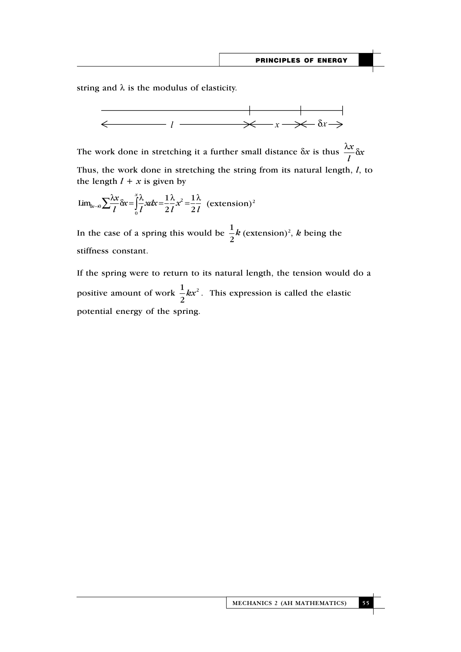string and  $\lambda$  is the modulus of elasticity.



The work done in stretching it a further small distance  $\delta x$  is thus  $\frac{\lambda x}{\cdot} \delta x$ *l*

Thus, the work done in stretching the string from its natural length, *l*, to the length  $l + x$  is given by

$$
\lim_{\delta x \to 0} \sum \frac{\lambda x}{l} \delta x = \int_{0}^{x} \frac{\lambda}{l} x dx = \frac{1}{2} \frac{\lambda}{l} x^{2} = \frac{1}{2} \frac{\lambda}{l} \text{ (extension)}^{2}
$$

In the case of a spring this would be  $\frac{1}{3}$ 2 *k* (extension)2, *k* being the stiffness constant.

If the spring were to return to its natural length, the tension would do a positive amount of work  $\frac{1}{2}kx^2$ 2  $kx^2$  . This expression is called the elastic potential energy of the spring.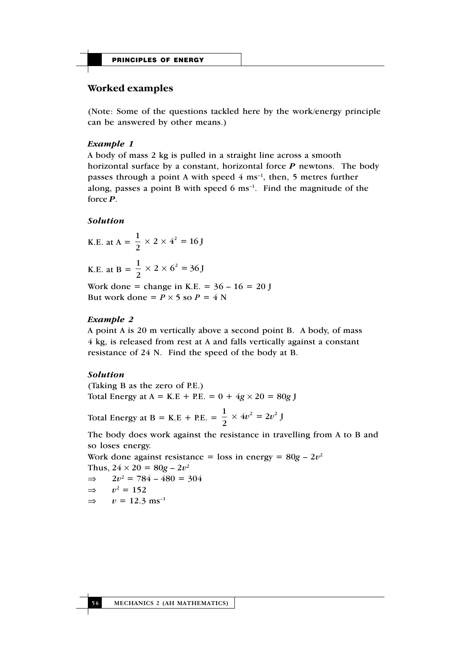# **Worked examples**

(Note: Some of the questions tackled here by the work/energy principle can be answered by other means.)

### *Example 1*

A body of mass 2 kg is pulled in a straight line across a smooth horizontal surface by a constant, horizontal force *P* newtons. The body passes through a point A with speed  $4 \text{ ms}^{-1}$ , then, 5 metres further along, passes a point B with speed  $6 \text{ ms}^{-1}$ . Find the magnitude of the force *P*.

### *Solution*

K.E. at A = 
$$
\frac{1}{2} \times 2 \times 4^2 = 16
$$
 J  
K.E. at B =  $\frac{1}{2} \times 2 \times 6^2 = 36$  J  
Work done = change in K.E. = 36 - 16 = 20 J

But work done =  $P \times 5$  so  $P = 4$  N

### *Example 2*

A point A is 20 m vertically above a second point B. A body, of mass 4 kg, is released from rest at A and falls vertically against a constant resistance of 24 N. Find the speed of the body at B.

### *Solution*

(Taking B as the zero of P.E.) Total Energy at  $A = K.E + P.E. = 0 + 4g \times 20 = 80g J$ 

Total Energy at B = K.E + P.E. =  $\frac{1}{2} \times 4v^2 = 2v^2$  J 2  $\times 4v^2 = 2v$ 

The body does work against the resistance in travelling from A to B and so loses energy.

Work done against resistance = loss in energy =  $80g - 2v^2$ Thus,  $24 \times 20 = 80g - 2v^2$ 

 $\Rightarrow$  2*v*<sup>2</sup> = 784 – 480 = 304 ⇒ *v*<sup>2</sup>  $v^2 = 152$ 

$$
\Rightarrow \qquad v = 12.3 \text{ ms}^{-1}
$$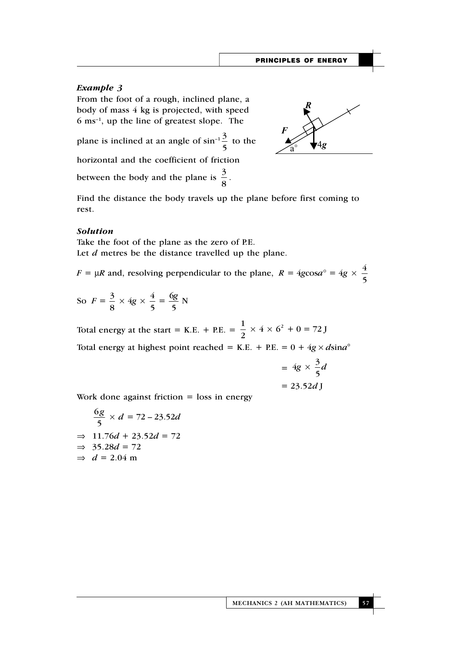# *Example 3*

From the foot of a rough, inclined plane, a body of mass 4 kg is projected, with speed 6 ms–1, up the line of greatest slope. The

 $a^{\circ}$   $\blacktriangledown$  4*g F R* °

plane is inclined at an angle of sin<sup>-1</sup>/<sub>2</sub> 5 to the

horizontal and the coefficient of friction

between the body and the plane is  $\frac{3}{8}$ .

Find the distance the body travels up the plane before first coming to rest.

### *Solution*

Take the foot of the plane as the zero of P.E. Let *d* metres be the distance travelled up the plane.

 $F = \mu R$  and, resolving perpendicular to the plane,  $R = 4g\cos\theta^\circ = 4g \times \frac{4}{5}$ 

So 
$$
F = \frac{3}{8} \times 4g \times \frac{4}{5} = \frac{6g}{5} N
$$

Total energy at the start = K.E. + P.E. =  $\frac{1}{2} \times 4 \times 6^2 + 0 = 72$  J 2  $\times$  4  $\times$ 

Total energy at highest point reached = K.E. + P.E. =  $0 + 4g \times d \sin a^{\circ}$ 

$$
= 4g \times \frac{3}{5}d
$$

$$
= 23.52d
$$

Work done against friction  $=$  loss in energy

$$
\frac{6g}{5} \times d = 72 - 23.52d
$$
  
\n
$$
\Rightarrow 11.76d + 23.52d = 72
$$
  
\n
$$
\Rightarrow 35.28d = 72
$$
  
\n
$$
\Rightarrow d = 2.04 \text{ m}
$$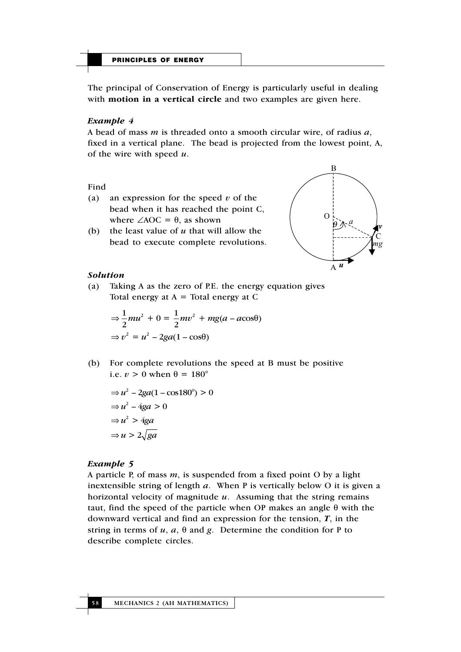The principal of Conservation of Energy is particularly useful in dealing with **motion in a vertical circle** and two examples are given here.

### *Example 4*

A bead of mass *m* is threaded onto a smooth circular wire, of radius *a*, fixed in a vertical plane. The bead is projected from the lowest point, A, of the wire with speed *u*.

### Find

- (a) an expression for the speed *v* of the bead when it has reached the point C, where  $\angle AOC = \theta$ , as shown
- (b) the least value of *u* that will allow the bead to execute complete revolutions.



### *Solution*

(a) Taking A as the zero of P.E. the energy equation gives Total energy at  $A = Total energy at C$ 

$$
\Rightarrow \frac{1}{2}mu^2 + 0 = \frac{1}{2}mv^2 + mg(a - a\cos\theta)
$$

$$
\Rightarrow v^2 = u^2 - 2ga(1 - \cos\theta)
$$

(b) For complete revolutions the speed at B must be positive i.e.  $v > 0$  when  $\theta = 180^\circ$ 

$$
\Rightarrow u^2 - 2ga(1 - \cos 180^\circ) > 0
$$
  
\n
$$
\Rightarrow u^2 - 4ga > 0
$$
  
\n
$$
\Rightarrow u^2 > 4ga
$$
  
\n
$$
\Rightarrow u > 2\sqrt{ga}
$$

### *Example 5*

A particle P, of mass *m*, is suspended from a fixed point O by a light inextensible string of length *a*. When P is vertically below O it is given a horizontal velocity of magnitude *u*. Assuming that the string remains taut, find the speed of the particle when OP makes an angle  $\theta$  with the downward vertical and find an expression for the tension, *T*, in the string in terms of  $u$ ,  $a$ ,  $\theta$  and  $g$ . Determine the condition for P to describe complete circles.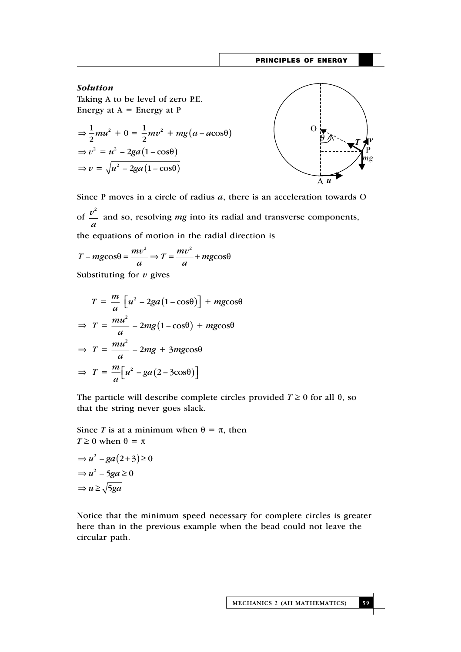

Since P moves in a circle of radius *a*, there is an acceleration towards O of  $\frac{v^2}{2}$ *a* and so, resolving *mg* into its radial and transverse components, the equations of motion in the radial direction is

$$
T-mg\cos\theta = \frac{mv^2}{a} \Rightarrow T = \frac{mv^2}{a} + mg\cos\theta
$$

Substituting for *v* gives

$$
T = \frac{m}{a} \left[ u^2 - 2ga(1 - \cos\theta) \right] + mg\cos\theta
$$
  
\n
$$
\Rightarrow T = \frac{mu^2}{a} - 2mg(1 - \cos\theta) + mg\cos\theta
$$
  
\n
$$
\Rightarrow T = \frac{mu^2}{a} - 2mg + 3mg\cos\theta
$$
  
\n
$$
\Rightarrow T = \frac{m}{a} \left[ u^2 - ga(2 - 3\cos\theta) \right]
$$

The particle will describe complete circles provided  $T \ge 0$  for all  $\theta$ , so that the string never goes slack.

Since *T* is at a minimum when  $\theta = \pi$ , then *T*  $\geq$  0 when  $\theta = \pi$  $\Rightarrow u^2 - ga(2+3) \ge 0$  $\Rightarrow$   $u^2$  – 5ga  $\geq$  0  $\Rightarrow$   $u \ge \sqrt{5ga}$ 

Notice that the minimum speed necessary for complete circles is greater here than in the previous example when the bead could not leave the circular path.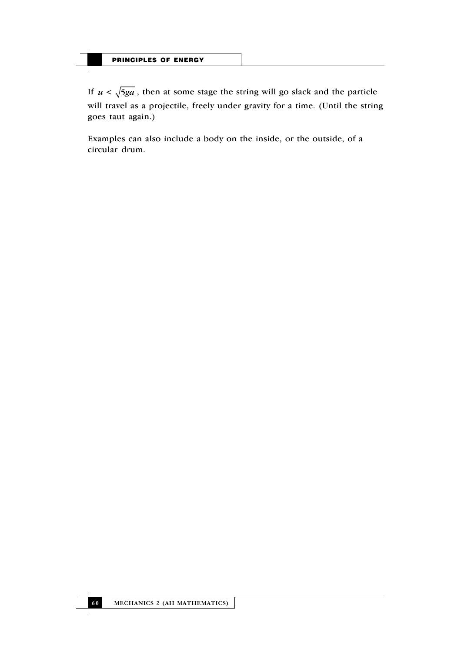If  $u < \sqrt{5ga}$ , then at some stage the string will go slack and the particle will travel as a projectile, freely under gravity for a time. (Until the string goes taut again.)

Examples can also include a body on the inside, or the outside, of a circular drum.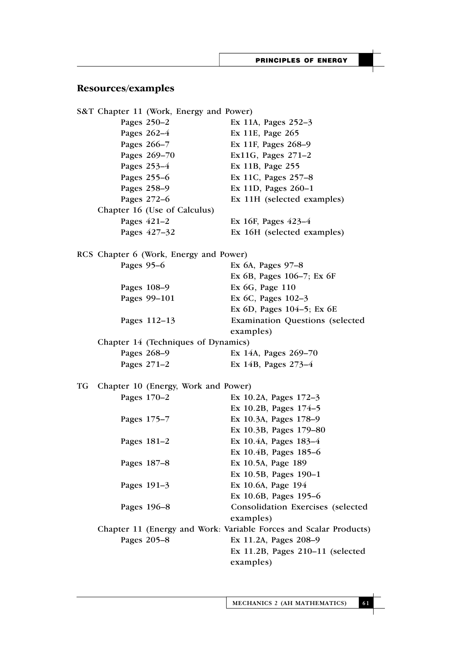# **Resources/examples**

|    |                                        | S&T Chapter 11 (Work, Energy and Power) |                                                                   |
|----|----------------------------------------|-----------------------------------------|-------------------------------------------------------------------|
|    |                                        | Pages 250-2                             | Ex 11A, Pages 252-3                                               |
|    |                                        | Pages 262-4                             | Ex 11E, Page 265                                                  |
|    |                                        | Pages 266-7                             | Ex 11F, Pages 268-9                                               |
|    |                                        | Pages 269-70                            | Ex11G, Pages 271-2                                                |
|    |                                        | Pages 253-4                             | Ex 11B, Page 255                                                  |
|    |                                        | Pages 255-6                             | Ex 11C, Pages 257-8                                               |
|    |                                        | Pages 258-9                             | Ex 11D, Pages 260-1                                               |
|    |                                        | Pages 272-6                             | Ex 11H (selected examples)                                        |
|    |                                        | Chapter 16 (Use of Calculus)            |                                                                   |
|    |                                        | Pages $421-2$                           | Ex 16F, Pages 423-4                                               |
|    |                                        | Pages 427-32                            | Ex 16H (selected examples)                                        |
|    | RCS Chapter 6 (Work, Energy and Power) |                                         |                                                                   |
|    | Pages $95-6$                           |                                         | Ex 6A, Pages $97-8$                                               |
|    |                                        |                                         | Ex 6B, Pages 106-7; Ex 6F                                         |
|    |                                        | Pages 108-9                             | Ex 6G, Page 110                                                   |
|    |                                        | Pages 99-101                            | Ex 6C, Pages 102-3                                                |
|    |                                        |                                         | Ex $6D$ , Pages $104-5$ ; Ex $6E$                                 |
|    |                                        | Pages 112-13                            | Examination Questions (selected                                   |
|    |                                        |                                         | examples)                                                         |
|    | Chapter 14 (Techniques of Dynamics)    |                                         |                                                                   |
|    |                                        | Pages 268-9                             | Ex 14A, Pages 269-70                                              |
|    |                                        | Pages 271-2                             | Ex 14B, Pages 273-4                                               |
| TG | Chapter 10 (Energy, Work and Power)    |                                         |                                                                   |
|    |                                        | Pages 170-2                             | Ex 10.2A, Pages 172–3                                             |
|    |                                        |                                         | Ex 10.2B, Pages 174-5                                             |
|    |                                        | Pages 175-7                             | Ex 10.3A, Pages 178-9                                             |
|    |                                        |                                         | Ex 10.3B, Pages 179-80                                            |
|    |                                        | Pages 181-2                             | Ex 10.4A, Pages 183-4                                             |
|    |                                        |                                         | Ex 10.4B, Pages 185-6                                             |
|    |                                        | Pages 187-8                             | Ex 10.5A, Page 189                                                |
|    |                                        |                                         | Ex 10.5B, Pages 190-1                                             |
|    |                                        | Pages 191-3                             | Ex 10.6A, Page 194                                                |
|    |                                        |                                         | Ex 10.6B, Pages 195–6                                             |
|    |                                        | Pages 196-8                             | Consolidation Exercises (selected<br>examples)                    |
|    |                                        |                                         | Chapter 11 (Energy and Work: Variable Forces and Scalar Products) |
|    |                                        | Pages 205-8                             | Ex 11.2A, Pages 208-9                                             |
|    |                                        |                                         | Ex $11.2B$ , Pages $210-11$ (selected                             |
|    |                                        |                                         | examples)                                                         |
|    |                                        |                                         |                                                                   |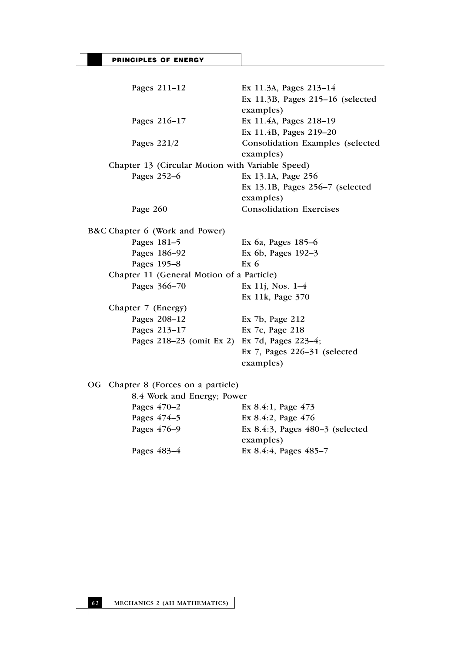| Pages 211-12                                     | Ex 11.3A, Pages 213-14<br>Ex 11.3B, Pages 215-16 (selected<br>examples) |  |  |  |
|--------------------------------------------------|-------------------------------------------------------------------------|--|--|--|
| Pages 216-17                                     | Ex 11.4A, Pages 218-19<br>Ex 11.4B, Pages 219-20                        |  |  |  |
| Pages 221/2                                      | Consolidation Examples (selected<br>examples)                           |  |  |  |
| Chapter 13 (Circular Motion with Variable Speed) |                                                                         |  |  |  |
| Pages 252-6                                      | Ex 13.1A, Page 256                                                      |  |  |  |
|                                                  | Ex 13.1B, Pages 256-7 (selected<br>examples)                            |  |  |  |
| Page 260                                         | <b>Consolidation Exercises</b>                                          |  |  |  |
| B&C Chapter 6 (Work and Power)                   |                                                                         |  |  |  |
| Pages 181-5                                      | Ex 6a, Pages 185-6                                                      |  |  |  |
| Pages 186-92                                     | Ex 6b, Pages 192-3                                                      |  |  |  |
| Pages 195-8                                      | Ex <sub>6</sub>                                                         |  |  |  |
| Chapter 11 (General Motion of a Particle)        |                                                                         |  |  |  |
| Pages 366-70                                     | Ex 11j, Nos. $1-4$                                                      |  |  |  |
|                                                  | Ex 11k, Page 370                                                        |  |  |  |
| Chapter 7 (Energy)                               |                                                                         |  |  |  |
| Pages 208-12                                     | Ex 7b, Page 212                                                         |  |  |  |
| Pages 213-17                                     | Ex 7c, Page 218                                                         |  |  |  |
| Pages 218-23 (omit Ex 2) Ex 7d, Pages 223-4;     |                                                                         |  |  |  |
|                                                  | Ex 7, Pages 226-31 (selected                                            |  |  |  |
|                                                  | examples)                                                               |  |  |  |
| OG Chapter 8 (Forces on a particle)              |                                                                         |  |  |  |
| 8.4 Work and Energy; Power                       |                                                                         |  |  |  |
| Pages 470-2                                      | Ex $8.4:1$ , Page $473$                                                 |  |  |  |
| Pages 474-5                                      | Ex 8.4:2, Page 476                                                      |  |  |  |
| Pages 476-9                                      | Ex 8.4:3, Pages 480-3 (selected                                         |  |  |  |
|                                                  | examples)                                                               |  |  |  |
| Pages 483-4                                      | Ex 8.4:4, Pages 485-7                                                   |  |  |  |
|                                                  |                                                                         |  |  |  |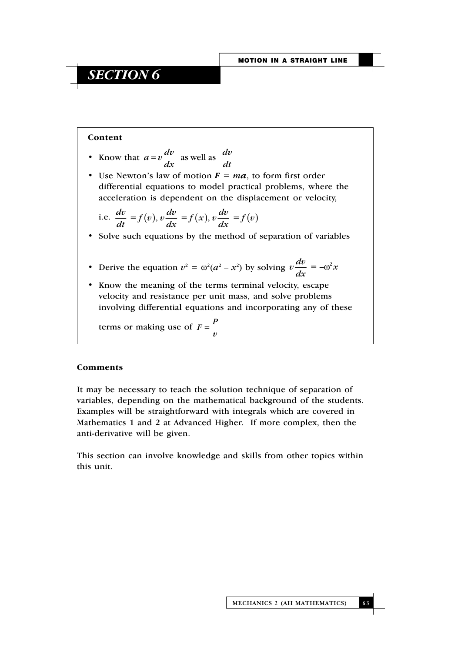# *SECTION 6*

# **Content**

• Know that 
$$
a = v \frac{dv}{dx}
$$
 as well as  $\frac{dv}{dt}$ 

• Use Newton's law of motion *F* = *ma*, to form first order differential equations to model practical problems, where the acceleration is dependent on the displacement or velocity,

i.e. 
$$
\frac{dv}{dt} = f(v), v \frac{dv}{dx} = f(x), v \frac{dv}{dx} = f(v)
$$

- Solve such equations by the method of separation of variables
- Derive the equation  $v^2 = \omega^2(a^2 x^2)$  by solving  $v \frac{dv}{dx} = -\omega^2 x$ *dx* ω
- Know the meaning of the terms terminal velocity, escape velocity and resistance per unit mass, and solve problems involving differential equations and incorporating any of these

terms or making use of  $F = \frac{P}{v}$ 

### **Comments**

It may be necessary to teach the solution technique of separation of variables, depending on the mathematical background of the students. Examples will be straightforward with integrals which are covered in Mathematics 1 and 2 at Advanced Higher. If more complex, then the anti-derivative will be given.

This section can involve knowledge and skills from other topics within this unit.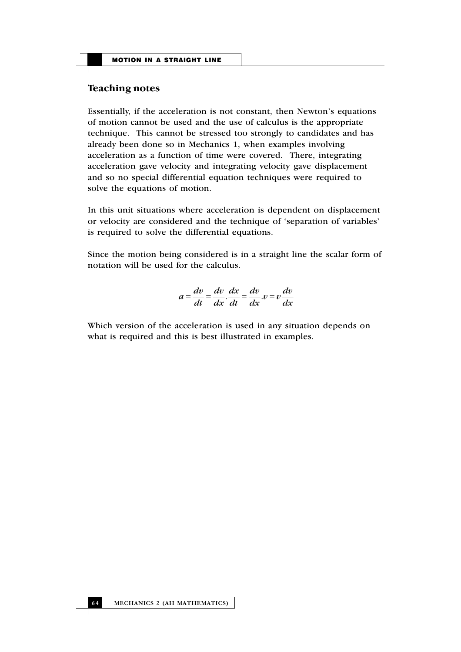# **Teaching notes**

Essentially, if the acceleration is not constant, then Newton's equations of motion cannot be used and the use of calculus is the appropriate technique. This cannot be stressed too strongly to candidates and has already been done so in Mechanics 1, when examples involving acceleration as a function of time were covered. There, integrating acceleration gave velocity and integrating velocity gave displacement and so no special differential equation techniques were required to solve the equations of motion.

In this unit situations where acceleration is dependent on displacement or velocity are considered and the technique of 'separation of variables' is required to solve the differential equations.

Since the motion being considered is in a straight line the scalar form of notation will be used for the calculus.

$$
a = \frac{dv}{dt} = \frac{dv}{dx} \cdot \frac{dx}{dt} = \frac{dv}{dx} \cdot v = v \frac{dv}{dx}
$$

Which version of the acceleration is used in any situation depends on what is required and this is best illustrated in examples.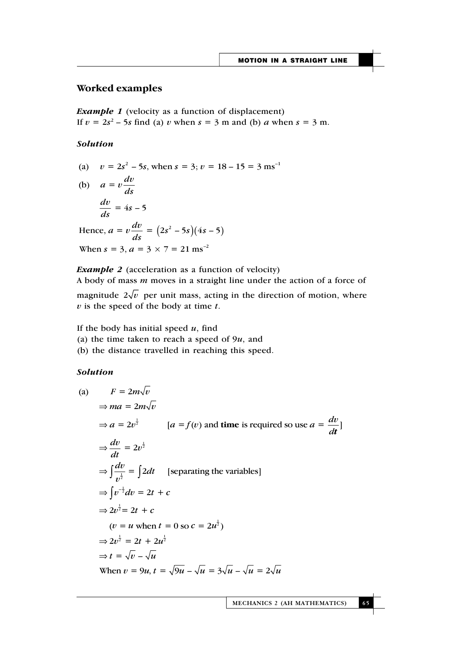# **Worked examples**

*Example 1* (velocity as a function of displacement) If  $v = 2s^2 - 5s$  find (a) *v* when  $s = 3$  m and (b) *a* when  $s = 3$  m.

# *Solution*

- (a)  $v = 2s^2 5s$ , when  $s = 3$ ;  $v = 18 15 = 3$  ms<sup>-1</sup>
- Hence,  $a = v \frac{dv}{dt} = (2s^2 5s)(4s 5)$ (b)  $a = v \frac{dv}{d}$  $\frac{dv}{dt} = 4s - 5$ *ds ds*

When  $s = 3$ ,  $a = 3 \times 7 = 21$  ms<sup>-2</sup> *ds*

*Example 2* (acceleration as a function of velocity) A body of mass *m* moves in a straight line under the action of a force of magnitude  $2\sqrt{v}$  per unit mass, acting in the direction of motion, where *v* is the speed of the body at time *t*.

If the body has initial speed *u*, find

- (a) the time taken to reach a speed of 9*u*, and
- (b) the distance travelled in reaching this speed.

## *Solution*

(a) 
$$
F = 2m\sqrt{v}
$$
  
\n $\Rightarrow ma = 2m\sqrt{v}$   
\n $\Rightarrow a = 2v^{\frac{1}{2}}$  [ $a = f(v)$  and **time** is required so use  $a = \frac{dv}{dt}$ ]  
\n $\Rightarrow \frac{dv}{dt} = 2v^{\frac{1}{2}}$   
\n $\Rightarrow \int \frac{dv}{v^{\frac{1}{2}}} = \int 2dt$  [separating the variables]  
\n $\Rightarrow \int v^{-\frac{1}{2}}dv = 2t + c$   
\n $\Rightarrow 2v^{\frac{1}{2}} = 2t + c$   
\n $(v = u \text{ when } t = 0 \text{ so } c = 2u^{\frac{1}{2}})$   
\n $\Rightarrow 2v^{\frac{1}{2}} = 2t + 2u^{\frac{1}{2}}$   
\n $\Rightarrow t = \sqrt{v} - \sqrt{u}$   
\nWhen  $v = 9u$ ,  $t = \sqrt{9u} - \sqrt{u} = 3\sqrt{u} - \sqrt{u} = 2\sqrt{u}$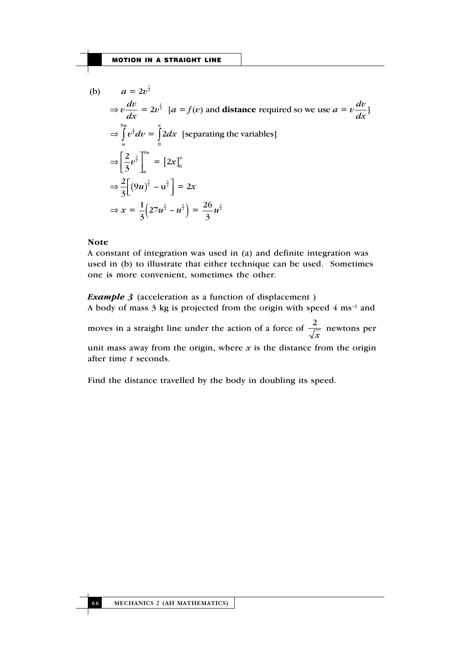(b) 
$$
a = 2v^{\frac{1}{2}}
$$
  
\n $\Rightarrow v \frac{dv}{dx} = 2v^{\frac{1}{2}}$  [ $a = f(v)$  and **distance** required so we use  $a = v \frac{dv}{dx}$ ]  
\n $\Rightarrow \int_{u}^{9u} v^{\frac{1}{2}} dv = \int_{0}^{x} 2dx$  [separating the variables]  
\n $\Rightarrow \left[\frac{2}{3}v^{\frac{3}{2}}\right]_{u}^{9u} = [2x]_{0}^{x}$   
\n $\Rightarrow \frac{2}{3}[(9u)^{\frac{3}{2}} - u^{\frac{3}{2}}] = 2x$   
\n $\Rightarrow x = \frac{1}{3}(27u^{\frac{3}{2}} - u^{\frac{3}{2}}) = \frac{26}{3}u^{\frac{3}{2}}$ 

# **Note**

A constant of integration was used in (a) and definite integration was used in (b) to illustrate that either technique can be used. Sometimes one is more convenient, sometimes the other.

*Example 3* (acceleration as a function of displacement) A body of mass  $3$  kg is projected from the origin with speed  $4 \text{ ms}^{-1}$  and

moves in a straight line under the action of a force of  $\frac{2}{\sqrt{2}}$ *x* newtons per

unit mass away from the origin, where  $x$  is the distance from the origin after time *t* seconds.

Find the distance travelled by the body in doubling its speed.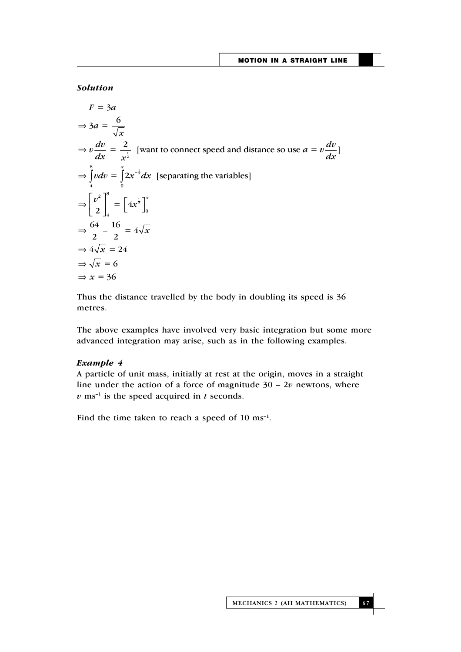*Solution*

$$
F = 3a
$$
  
\n
$$
\Rightarrow 3a = \frac{6}{\sqrt{x}}
$$
  
\n
$$
\Rightarrow v \frac{dv}{dx} = \frac{2}{x^{\frac{1}{2}}}
$$
 [want to connect speed and distance so use  $a = v \frac{dv}{dx}$ ]  
\n
$$
\Rightarrow \int_{4}^{8} v dv = \int_{0}^{8} 2x^{-\frac{1}{2}} dx
$$
 [separating the variables]  
\n
$$
\Rightarrow \left[\frac{v^{2}}{2}\right]_{4}^{8} = \left[4x^{\frac{1}{2}}\right]_{0}^{8}
$$
  
\n
$$
\Rightarrow \frac{64}{2} - \frac{16}{2} = 4\sqrt{x}
$$
  
\n
$$
\Rightarrow 4\sqrt{x} = 24
$$
  
\n
$$
\Rightarrow \sqrt{x} = 6
$$
  
\n
$$
\Rightarrow x = 36
$$

Thus the distance travelled by the body in doubling its speed is 36 metres.

The above examples have involved very basic integration but some more advanced integration may arise, such as in the following examples.

# *Example 4*

A particle of unit mass, initially at rest at the origin, moves in a straight line under the action of a force of magnitude  $30 - 2v$  newtons, where  $v$  ms<sup>-1</sup> is the speed acquired in  $t$  seconds.

Find the time taken to reach a speed of  $10 \text{ ms}^{-1}$ .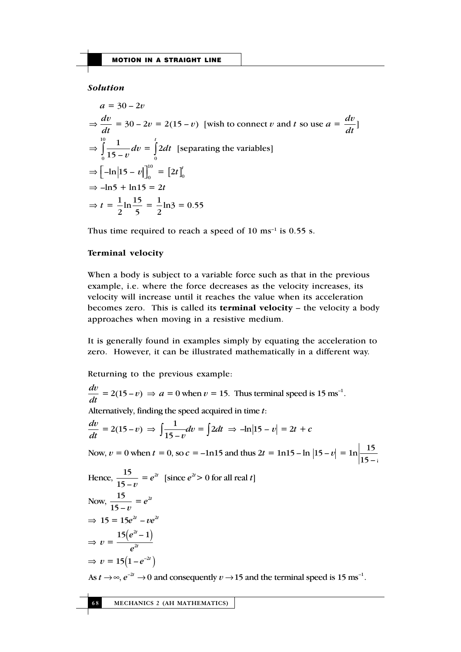*Solution*

$$
a = 30 - 2v
$$
  
\n
$$
\Rightarrow \frac{dv}{dt} = 30 - 2v = 2(15 - v) \text{ [with to connect } v \text{ and } t \text{ so use } a = \frac{dv}{dt}
$$
  
\n
$$
\Rightarrow \int_{0}^{10} \frac{1}{15 - v} dv = \int_{0}^{t} 2dt \text{ [separating the variables]}
$$
  
\n
$$
\Rightarrow [-\ln|15 - v|]_{0}^{10} = [2t]_{0}^{t}
$$
  
\n
$$
\Rightarrow -\ln 5 + \ln 15 = 2t
$$
  
\n
$$
\Rightarrow t = \frac{1}{2} \ln \frac{15}{5} = \frac{1}{2} \ln 3 = 0.55
$$

Thus time required to reach a speed of  $10 \text{ ms}^{-1}$  is  $0.55 \text{ s}$ .

# **Terminal velocity**

When a body is subject to a variable force such as that in the previous example, i.e. where the force decreases as the velocity increases, its velocity will increase until it reaches the value when its acceleration becomes zero. This is called its **terminal velocity** – the velocity a body approaches when moving in a resistive medium.

It is generally found in examples simply by equating the acceleration to zero. However, it can be illustrated mathematically in a different way.

Returning to the previous example:

$$
\frac{dv}{dt} = 2(15 - v) \implies a = 0
$$
 when  $v = 15$ . Thus terminal speed is 15 ms<sup>-1</sup>.

Alternatively, finding the speed acquired in time t:

$$
\frac{dv}{dt} = 2(15 - v) \Rightarrow \int \frac{1}{15 - v} dv = \int 2dt \Rightarrow -\ln|15 - v| = 2t + c
$$

Now,  $v = 0$  when  $t = 0$ , so  $c = -1$ n15 and thus  $2t = 1$ n15 – ln  $\left| 15 - v \right| = 1$ n  $\frac{15}{15 - v}$ *v*

Hence, 
$$
\frac{15}{15 - v} = e^{2t}
$$
 [since  $e^{2t} > 0$  for all real  $t$ ]  
\nNow,  $\frac{15}{15 - v} = e^{2t}$   
\n $\Rightarrow 15 = 15e^{2t} - ve^{2t}$   
\n $\Rightarrow v = \frac{15(e^{2t} - 1)}{e^{2t}}$   
\n $\Rightarrow v = 15(1 - e^{-2t})$   
\nAs  $t \to \infty$ ,  $e^{-2t} \to 0$  and consequently  $v \to 15$  and the terminal speed is 15 ms<sup>-1</sup>.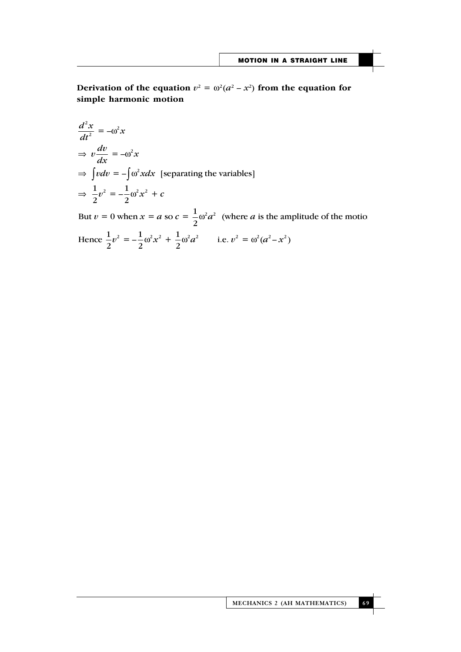**Derivation of the equation**  $v^2 = \omega^2(a^2 - x^2)$  from the equation for **simple harmonic motion**

$$
\frac{d^2x}{dt^2} = -\omega^2 x
$$
  
\n
$$
\Rightarrow v \frac{dv}{dx} = -\omega^2 x
$$
  
\n
$$
\Rightarrow \int v dv = -\int \omega^2 x dx \text{ [separating the variables]}
$$
  
\n
$$
\Rightarrow \frac{1}{2}v^2 = -\frac{1}{2}\omega^2 x^2 + c
$$

2 2 2 2

But  $v = 0$  when  $x = a$  so  $c = \frac{1}{2} \omega^2 a^2$  (where a is the amplitude of the motion Hence  $\frac{1}{2}v^2 = -\frac{1}{2}\omega^2 x^2 + \frac{1}{2}\omega^2 a^2$  i.e. 2  $v = 0$  when  $x = a$  so  $c = \frac{1}{2}\omega^2 a^2$  (where a  $v^2 = -\frac{1}{2}\omega^2 x^2 + \frac{1}{2}\omega^2 a^2$  i.e.  $v^2 = \omega^2 (a^2 - x^2)$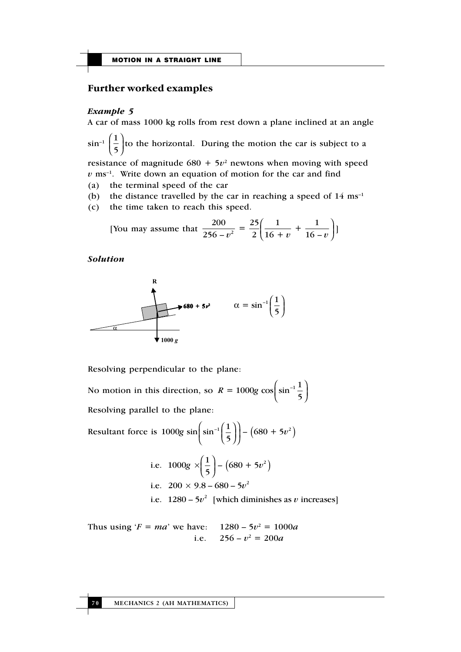# **Further worked examples**

#### *Example 5*

A car of mass 1000 kg rolls from rest down a plane inclined at an angle

 $\sin^{-1}\left(\frac{1}{2}\right)$  $\left(\frac{1}{5}\right)$  to the horizontal. During the motion the car is subject to a

resistance of magnitude  $680 + 5v^2$  newtons when moving with speed  $v$  ms<sup>-1</sup>. Write down an equation of motion for the car and find

(a) the terminal speed of the car

- (b) the distance travelled by the car in reaching a speed of  $14 \text{ ms}^{-1}$
- (c) the time taken to reach this speed.

[You may assume that 
$$
\frac{200}{256 - v^2} = \frac{25}{2} \left( \frac{1}{16 + v} + \frac{1}{16 - v} \right) ]
$$

*Solution*



Resolving perpendicular to the plane:

No motion in this direction, so  $R = 1000g \cos \left(\sin^{-1} \frac{1}{5}\right)$ Resolving parallel to the plane: Resultant force is  $1000g \sin \left( \sin^{-1} \left( \frac{1}{5} \right) \right) - (680 + 5v^2)$ 

i.e. 
$$
1000g \times \left(\frac{1}{5}\right) - (680 + 5v^2)
$$
  
\ni.e.  $200 \times 9.8 - 680 - 5v^2$   
\ni.e.  $1280 - 5v^2$  [which diminishes as v increases]

Thus using '*F* = *ma*' we have:  $1280 - 5v^2 = 1000a$ i.e.  $256 - v^2 = 200a$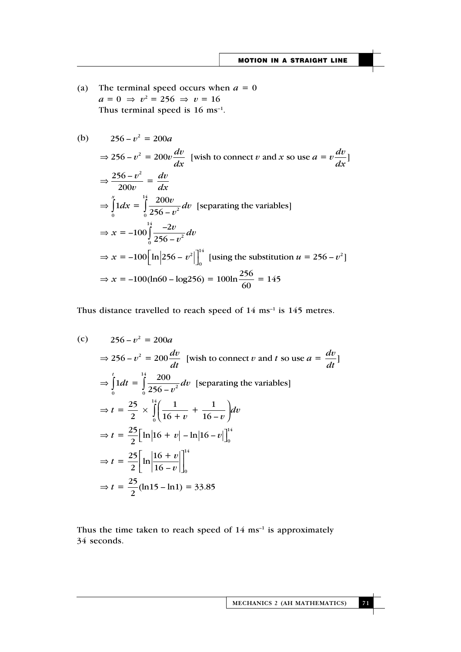(a) The terminal speed occurs when  $a = 0$  $a = 0 \Rightarrow v^2 = 256 \Rightarrow v = 16$ Thus terminal speed is  $16 \text{ ms}^{-1}$ .

(b) 
$$
256 - v^2 = 200a
$$
  
\n
$$
\Rightarrow 256 - v^2 = 200v \frac{dv}{dx} \text{ [with to connect } v \text{ and } x \text{ so use } a = v \frac{dv}{dx}\text{]}
$$
  
\n
$$
\Rightarrow \frac{256 - v^2}{200v} = \frac{dv}{dx}
$$
  
\n
$$
\Rightarrow \int_0^x 1 dx = \int_0^{\frac{14}{3}} \frac{200v}{256 - v^2} dv \text{ [separating the variables]}
$$
  
\n
$$
\Rightarrow x = -100 \int_0^{\frac{14}{3}} \frac{-2v}{256 - v^2} dv
$$
  
\n
$$
\Rightarrow x = -100 \left[ \ln |256 - v^2| \right]_0^{\frac{14}{3}} \text{ [using the substitution } u = 256 - v^2 \text{]}
$$
  
\n
$$
\Rightarrow x = -100 (\ln 60 - \log 256) = 100 \ln \frac{256}{60} = 145
$$

Thus distance travelled to reach speed of 14 ms<sup>-1</sup> is 145 metres.

(c) 
$$
256 - v^2 = 200a
$$
  
\n $\Rightarrow 256 - v^2 = 200 \frac{dv}{dt}$  [ wish to connect *v* and *t* so use  $a = \frac{dv}{dt}$ ]  
\n $\Rightarrow \int_0^t 1 dt = \int_0^{14} \frac{200}{256 - v^2} dv$  [separating the variables]  
\n $\Rightarrow t = \frac{25}{2} \times \int_0^{14} \left( \frac{1}{16 + v} + \frac{1}{16 - v} \right) dv$   
\n $\Rightarrow t = \frac{25}{2} \left[ \ln |16 + v| - \ln |16 - v| \right]_0^{14}$   
\n $\Rightarrow t = \frac{25}{2} \left[ \ln \left| \frac{16 + v}{16 - v} \right| \right]_0^{14}$   
\n $\Rightarrow t = \frac{25}{2} (\ln |15 - \ln 1) = 33.85$ 

Thus the time taken to reach speed of  $14 \text{ ms}^{-1}$  is approximately 34 seconds.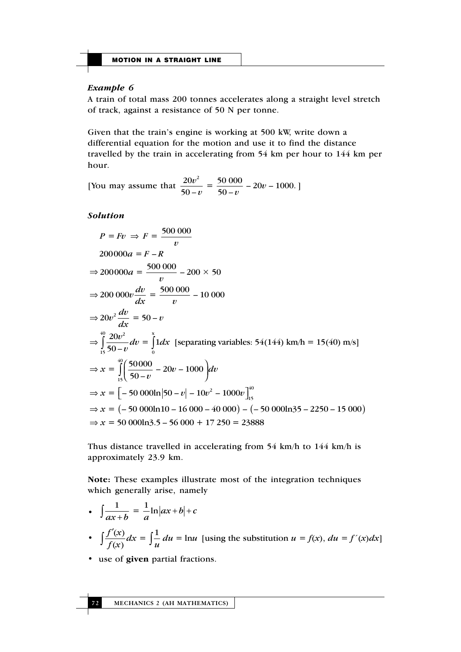## *Example 6*

A train of total mass 200 tonnes accelerates along a straight level stretch of track, against a resistance of 50 N per tonne.

Given that the train's engine is working at 500 kW, write down a differential equation for the motion and use it to find the distance travelled by the train in accelerating from 54 km per hour to 144 km per hour.

[You may assume that  $\frac{20v^2}{1000} = \frac{50000}{100} - 20v - 1000$ .  $50 - v$   $50 - v$  $\frac{v^2}{2} = \frac{50\ 000}{50} - 20v$ *–v –v* ]

### *Solution*

$$
P = Fv \Rightarrow F = \frac{500\,000}{v}
$$
  
\n
$$
200\,000a = F - R
$$
  
\n
$$
\Rightarrow 200\,000a = \frac{500\,000}{v} - 200 \times 50
$$
  
\n
$$
\Rightarrow 200\,000v \frac{dv}{dx} = \frac{500\,000}{v} - 10\,000
$$
  
\n
$$
\Rightarrow 20v^2 \frac{dv}{dx} = 50 - v
$$
  
\n
$$
\Rightarrow \int_{15}^{40} \frac{20v^2}{50 - v} dv = \int_{0}^{x} 1 dx \text{ [separating variables: } 54(144) \text{ km/h} = 15(40) \text{ m/s}]
$$
  
\n
$$
\Rightarrow x = \int_{15}^{40} \left(\frac{50\,000}{50 - v} - 20v - 1000\right) dv
$$
  
\n
$$
\Rightarrow x = \left[-50\,000\ln|50 - v| - 10v^2 - 1000v\right]_{15}^{40}
$$
  
\n
$$
\Rightarrow x = (-50\,000\ln 10 - 16\,000 - 40\,000) - (-50\,000\ln 35 - 2250 - 15\,000)
$$
  
\n
$$
\Rightarrow x = 50\,000\ln 3.5 - 56\,000 + 17\,250 = 23888
$$

Thus distance travelled in accelerating from 54 km/h to 144 km/h is approximately 23.9 km.

**Note:** These examples illustrate most of the integration techniques which generally arise, namely

• 
$$
\int \frac{1}{ax+b} = \frac{1}{a} \ln|ax+b| + c
$$
  
\n• 
$$
\int \frac{f'(x)}{f(x)} dx = \int \frac{1}{u} du = \ln u \text{ [using the substitution } u = f(x), du = f'(x) dx]
$$

• use of **given** partial fractions.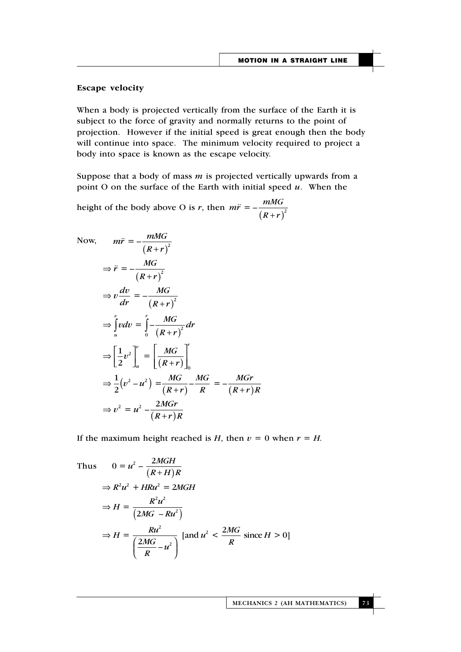## **Escape velocity**

When a body is projected vertically from the surface of the Earth it is subject to the force of gravity and normally returns to the point of projection. However if the initial speed is great enough then the body will continue into space. The minimum velocity required to project a body into space is known as the escape velocity.

Suppose that a body of mass *m* is projected vertically upwards from a point O on the surface of the Earth with initial speed *u*. When the

height of the body above O is *r*, then  $m\ddot{r} = -\frac{mMG}{(R+r)^2}$ 

Now, 
$$
mi = -\frac{mMG}{(R+r)^2}
$$
  
\n $\Rightarrow \ddot{r} = -\frac{MG}{(R+r)^2}$   
\n $\Rightarrow v\frac{dv}{dr} = -\frac{MG}{(R+r)^2}$   
\n $\Rightarrow \int_u^v v dv = \int_0^r -\frac{MG}{(R+r)^2} dr$   
\n $\Rightarrow \left[\frac{1}{2}v^2\right]_u^v = \left[\frac{MG}{(R+r)}\right]_0^r$   
\n $\Rightarrow \frac{1}{2}(v^2 - u^2) = \frac{MG}{(R+r)} - \frac{MG}{R} = -\frac{MG}{(R+r)R}$   
\n $\Rightarrow v^2 = u^2 - \frac{2MGr}{(R+r)R}$ 

If the maximum height reached is  $H$ , then  $v = 0$  when  $r = H$ .

Thus 
$$
0 = u^2 - \frac{2MGH}{(R+H)R}
$$

$$
\Rightarrow R^2u^2 + HRu^2 = 2MGH
$$

$$
\Rightarrow H = \frac{R^2u^2}{(2MG - Ru^2)}
$$

$$
\Rightarrow H = \frac{Ru^2}{\left(\frac{2MG}{R} - u^2\right)} \text{ [and } u^2 < \frac{2MG}{R} \text{ since } H > 0\text{]}
$$

**MECHANICS 2 (AH MATHEMATICS) 7 3**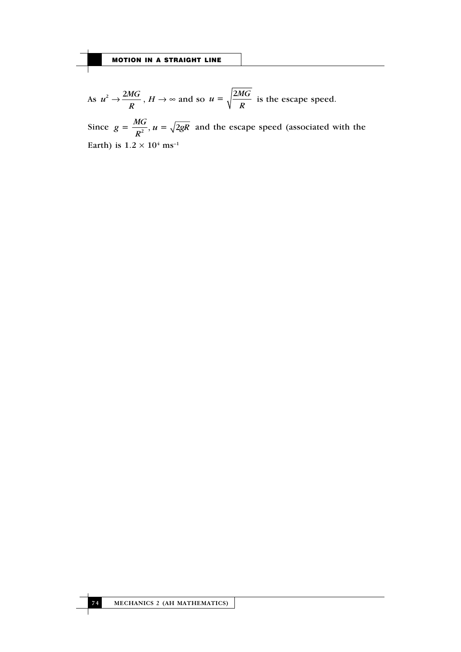As 
$$
u^2 \to \frac{2MG}{R}
$$
,  $H \to \infty$  and so  $u = \sqrt{\frac{2MG}{R}}$  is the escape speed.

Since  $g = \frac{MG}{R^2}$ ,  $u = \sqrt{2gR}$  and the escape speed (associated with the Earth) is  $1.2 \times 10^4$  ms<sup>-1</sup>